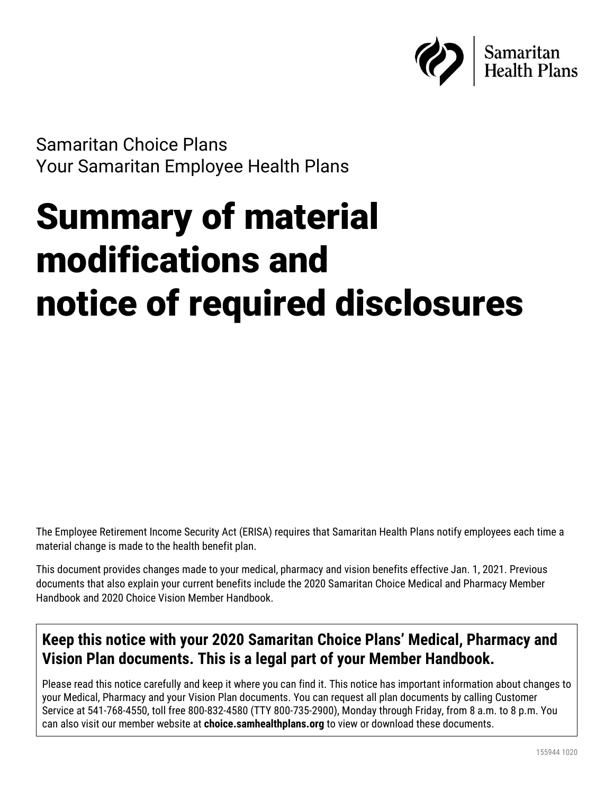

Samaritan Choice Plans Your Samaritan Employee Health Plans

# Summary of material modifications and notice of required disclosures

The Employee Retirement Income Security Act (ERISA) requires that Samaritan Health Plans notify employees each time a material change is made to the health benefit plan.

This document provides changes made to your medical, pharmacy and vision benefits effective Jan. 1, 2021. Previous documents that also explain your current benefits include the 2020 Samaritan Choice Medical and Pharmacy Member Handbook and 2020 Choice Vision Member Handbook.

# **Keep this notice with your 2020 Samaritan Choice Plans' Medical, Pharmacy and Vision Plan documents. This is a legal part of your Member Handbook.**

Please read this notice carefully and keep it where you can find it. This notice has important information about changes to your Medical, Pharmacy and your Vision Plan documents. You can request all plan documents by calling Customer Service at 541-768-4550, toll free 800-832-4580 (TTY 800-735-2900), Monday through Friday, from 8 a.m. to 8 p.m. You can also visit our member website at **choice.samhealthplans.org** to view or download these documents.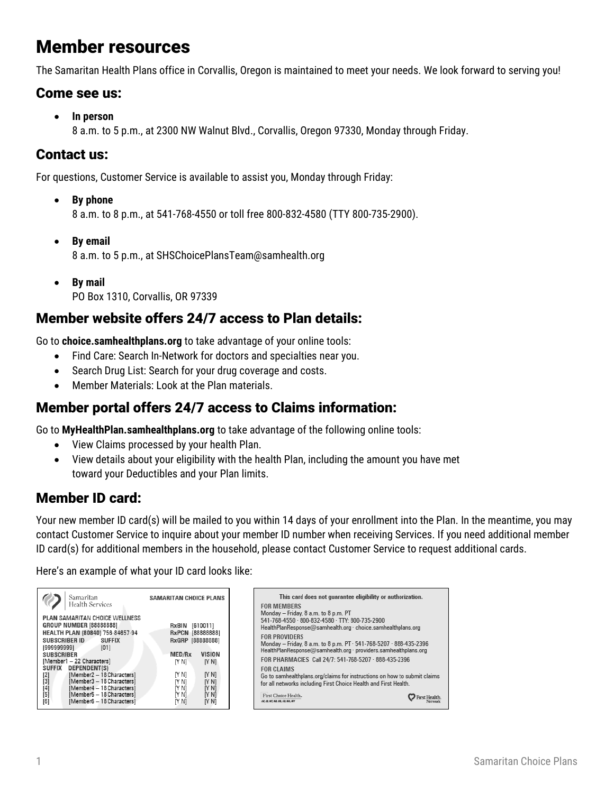# Member resources

The Samaritan Health Plans office in Corvallis, Oregon is maintained to meet your needs. We look forward to serving you!

### Come see us:

• **In person**

8 a.m. to 5 p.m., at 2300 NW Walnut Blvd., Corvallis, Oregon 97330, Monday through Friday.

### Contact us:

For questions, Customer Service is available to assist you, Monday through Friday:

• **By phone**

8 a.m. to 8 p.m., at 541-768-4550 or toll free 800-832-4580 (TTY 800-735-2900).

- **By email** 8 a.m. to 5 p.m., at SHSChoicePlansTeam@samhealth.org
- **By mail** PO Box 1310, Corvallis, OR 97339

# Member website offers 24/7 access to Plan details:

Go to **choice.samhealthplans.org** to take advantage of your online tools:

- Find Care: Search In-Network for doctors and specialties near you.
- Search Drug List: Search for your drug coverage and costs.
- Member Materials: Look at the Plan materials.

## Member portal offers 24/7 access to Claims information:

Go to **MyHealthPlan.samhealthplans.org** to take advantage of the following online tools:

- View Claims processed by your health Plan.
- View details about your eligibility with the health Plan, including the amount you have met toward your Deductibles and your Plan limits.

## Member ID card:

Your new member ID card(s) will be mailed to you within 14 days of your enrollment into the Plan. In the meantime, you may contact Customer Service to inquire about your member ID number when receiving Services. If you need additional member ID card(s) for additional members in the household, please contact Customer Service to request additional cards.

Here's an example of what your ID card looks like:

| Samaritan<br>$\varphi$<br><b>Health Services</b>                                                                                                                    | <b>SAMARITAN CHOICE PLANS</b>                             |
|---------------------------------------------------------------------------------------------------------------------------------------------------------------------|-----------------------------------------------------------|
| PLAN SAMARITAN CHOICE WELLNESS<br><b>GROUP NUMBER [88888888]</b><br>HEALTH PLAN (80840) 756-84657-94<br><b>SUBSCRIBER ID</b><br><b>SUFFIX</b><br>[99999999]<br>[01] | [610011]<br>RxBIN<br>RxPCN [88888888]<br>RxGRP [88888888] |
| <b>SUBSCRIBER</b>                                                                                                                                                   | <b>VISION</b><br>MED/Rx                                   |
| [Member1 - 22 Characters]                                                                                                                                           | IY N1                                                     |
| SUFFIX DEPENDENT(S)                                                                                                                                                 | <b>IY NI</b>                                              |
| [Member2 - 18 Characters]                                                                                                                                           | [Y N]                                                     |
| [2]                                                                                                                                                                 | IY NI                                                     |
| $[3]$                                                                                                                                                               | [Y N]                                                     |
| [Member3 - 18 Characters]                                                                                                                                           | IY NI                                                     |
| $[4]$                                                                                                                                                               | IY N1                                                     |
| [Member4 - 18 Characters]                                                                                                                                           | IY NI                                                     |
| [Member5 - 18 Characters]                                                                                                                                           | IY NI                                                     |
| [5]                                                                                                                                                                 | IY N1                                                     |
| [6]                                                                                                                                                                 | IY NI                                                     |
| [Member6 - 18 Characters]                                                                                                                                           | IY NI                                                     |

| This card does not quarantee eligibility or authorization.                                                                                                        |
|-------------------------------------------------------------------------------------------------------------------------------------------------------------------|
| <b>FOR MEMBERS</b><br>Monday - Friday, 8 a.m. to 8 p.m. PT                                                                                                        |
| 541-768-4550 · 800-832-4580 · TTY 800-735-2900<br>HealthPlanResponse@samhealth.org · choice.samhealthplans.org                                                    |
| <b>FOR PROVIDERS</b><br>Monday - Friday, 8 a.m. to 8 p.m. PT · 541-768-5207 · 888-435-2396<br>HealthPlanResponse@samhealth.org · providers.samhealthplans.org     |
| FOR PHARMACIES Call 24/7: 541-768-5207 · 888-435-2396                                                                                                             |
| <b>FOR CLAIMS</b><br>Go to samhealthplans.org/claims for instructions on how to submit claims<br>for all networks including First Choice Health and First Health. |
| First Choice Health.<br>AV, (8) MT N3, 64, 53, 801, 87                                                                                                            |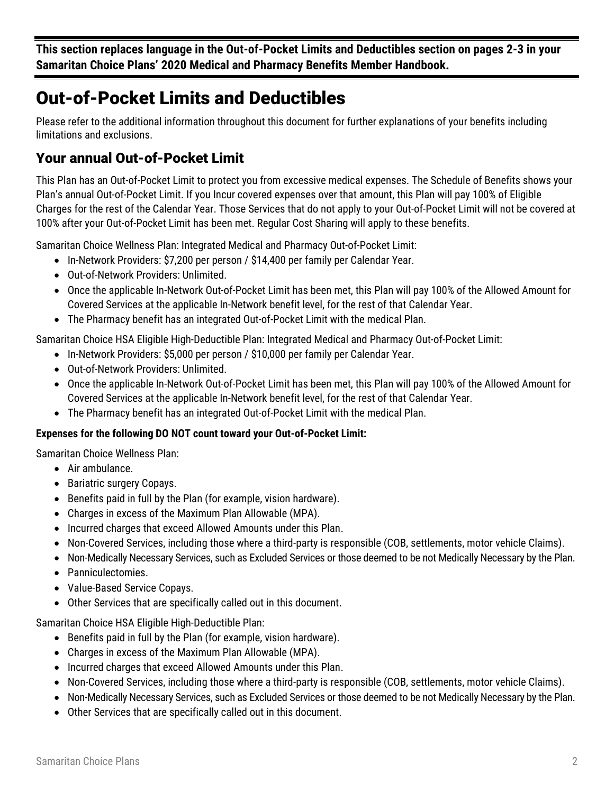**This section replaces language in the Out-of-Pocket Limits and Deductibles section on pages 2-3 in your Samaritan Choice Plans' 2020 Medical and Pharmacy Benefits Member Handbook.**

# Out-of-Pocket Limits and Deductibles

Please refer to the additional information throughout this document for further explanations of your benefits including limitations and exclusions.

# Your annual Out-of-Pocket Limit

This Plan has an Out-of-Pocket Limit to protect you from excessive medical expenses. The Schedule of Benefits shows your Plan's annual Out-of-Pocket Limit. If you Incur covered expenses over that amount, this Plan will pay 100% of Eligible Charges for the rest of the Calendar Year. Those Services that do not apply to your Out-of-Pocket Limit will not be covered at 100% after your Out-of-Pocket Limit has been met. Regular Cost Sharing will apply to these benefits.

Samaritan Choice Wellness Plan: Integrated Medical and Pharmacy Out-of-Pocket Limit:

- In-Network Providers: \$7,200 per person / \$14,400 per family per Calendar Year.
- Out-of-Network Providers: Unlimited.
- Once the applicable In-Network Out-of-Pocket Limit has been met, this Plan will pay 100% of the Allowed Amount for Covered Services at the applicable In-Network benefit level, for the rest of that Calendar Year.
- The Pharmacy benefit has an integrated Out-of-Pocket Limit with the medical Plan.

Samaritan Choice HSA Eligible High-Deductible Plan: Integrated Medical and Pharmacy Out-of-Pocket Limit:

- In-Network Providers: \$5,000 per person / \$10,000 per family per Calendar Year.
- Out-of-Network Providers: Unlimited.
- Once the applicable In-Network Out-of-Pocket Limit has been met, this Plan will pay 100% of the Allowed Amount for Covered Services at the applicable In-Network benefit level, for the rest of that Calendar Year.
- The Pharmacy benefit has an integrated Out-of-Pocket Limit with the medical Plan.

#### **Expenses for the following DO NOT count toward your Out-of-Pocket Limit:**

Samaritan Choice Wellness Plan:

- Air ambulance.
- Bariatric surgery Copays.
- Benefits paid in full by the Plan (for example, vision hardware).
- Charges in excess of the Maximum Plan Allowable (MPA).
- Incurred charges that exceed Allowed Amounts under this Plan.
- Non-Covered Services, including those where a third-party is responsible (COB, settlements, motor vehicle Claims).
- Non-Medically Necessary Services, such as Excluded Services or those deemed to be not Medically Necessary by the Plan.
- Panniculectomies.
- Value-Based Service Copays.
- Other Services that are specifically called out in this document.

Samaritan Choice HSA Eligible High-Deductible Plan:

- Benefits paid in full by the Plan (for example, vision hardware).
- Charges in excess of the Maximum Plan Allowable (MPA).
- Incurred charges that exceed Allowed Amounts under this Plan.
- Non-Covered Services, including those where a third-party is responsible (COB, settlements, motor vehicle Claims).
- Non-Medically Necessary Services, such as Excluded Services or those deemed to be not Medically Necessary by the Plan.
- Other Services that are specifically called out in this document.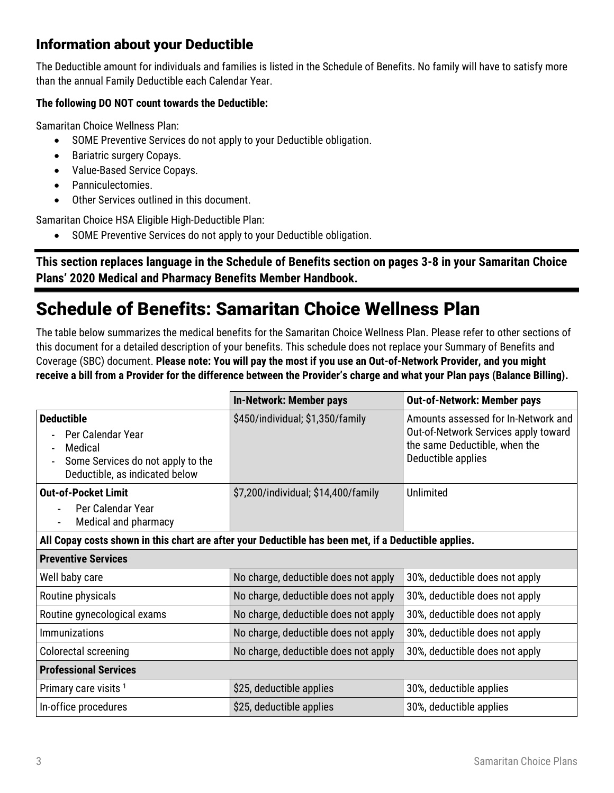# Information about your Deductible

The Deductible amount for individuals and families is listed in the Schedule of Benefits. No family will have to satisfy more than the annual Family Deductible each Calendar Year.

#### **The following DO NOT count towards the Deductible:**

Samaritan Choice Wellness Plan:

- SOME Preventive Services do not apply to your Deductible obligation.
- Bariatric surgery Copays.
- Value-Based Service Copays.
- Panniculectomies.
- Other Services outlined in this document.

Samaritan Choice HSA Eligible High-Deductible Plan:

• SOME Preventive Services do not apply to your Deductible obligation.

**This section replaces language in the Schedule of Benefits section on pages 3-8 in your Samaritan Choice Plans' 2020 Medical and Pharmacy Benefits Member Handbook.**

# Schedule of Benefits: Samaritan Choice Wellness Plan

The table below summarizes the medical benefits for the Samaritan Choice Wellness Plan. Please refer to other sections of this document for a detailed description of your benefits. This schedule does not replace your Summary of Benefits and Coverage (SBC) document. **Please note: You will pay the most if you use an Out-of-Network Provider, and you might receive a bill from a Provider for the difference between the Provider's charge and what your Plan pays (Balance Billing).**

|                                                                                                                                 | <b>In-Network: Member pays</b>       | <b>Out-of-Network: Member pays</b>                                                                                                 |
|---------------------------------------------------------------------------------------------------------------------------------|--------------------------------------|------------------------------------------------------------------------------------------------------------------------------------|
| <b>Deductible</b><br><b>Per Calendar Year</b><br>Medical<br>Some Services do not apply to the<br>Deductible, as indicated below | \$450/individual; \$1,350/family     | Amounts assessed for In-Network and<br>Out-of-Network Services apply toward<br>the same Deductible, when the<br>Deductible applies |
| <b>Out-of-Pocket Limit</b>                                                                                                      | \$7,200/individual; \$14,400/family  | <b>Unlimited</b>                                                                                                                   |
| Per Calendar Year<br>Medical and pharmacy                                                                                       |                                      |                                                                                                                                    |
| All Copay costs shown in this chart are after your Deductible has been met, if a Deductible applies.                            |                                      |                                                                                                                                    |
| <b>Preventive Services</b>                                                                                                      |                                      |                                                                                                                                    |
| Well baby care                                                                                                                  | No charge, deductible does not apply | 30%, deductible does not apply                                                                                                     |
| Routine physicals                                                                                                               | No charge, deductible does not apply | 30%, deductible does not apply                                                                                                     |
| Routine gynecological exams                                                                                                     | No charge, deductible does not apply | 30%, deductible does not apply                                                                                                     |
| <b>Immunizations</b>                                                                                                            | No charge, deductible does not apply | 30%, deductible does not apply                                                                                                     |
| Colorectal screening                                                                                                            | No charge, deductible does not apply | 30%, deductible does not apply                                                                                                     |
| <b>Professional Services</b>                                                                                                    |                                      |                                                                                                                                    |
| Primary care visits <sup>1</sup>                                                                                                | \$25, deductible applies             | 30%, deductible applies                                                                                                            |
| In-office procedures                                                                                                            | \$25, deductible applies             | 30%, deductible applies                                                                                                            |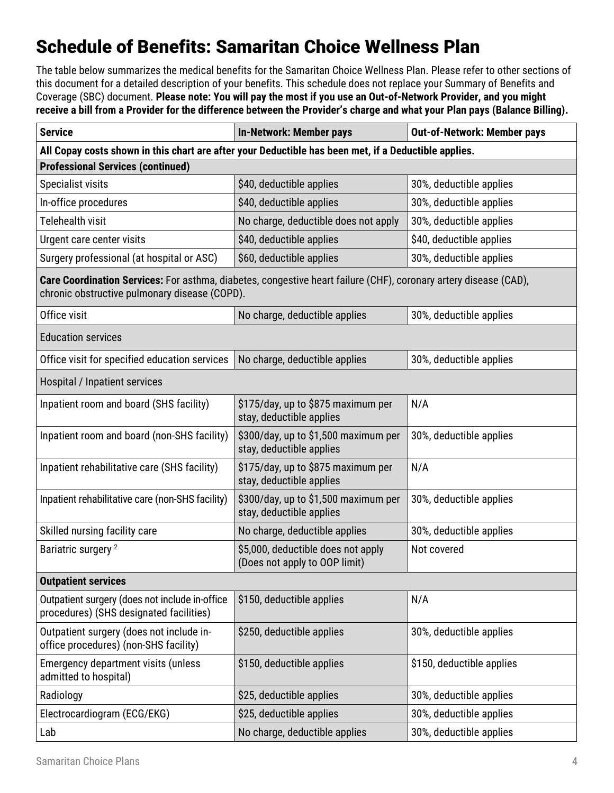# Schedule of Benefits: Samaritan Choice Wellness Plan

The table below summarizes the medical benefits for the Samaritan Choice Wellness Plan. Please refer to other sections of this document for a detailed description of your benefits. This schedule does not replace your Summary of Benefits and Coverage (SBC) document. **Please note: You will pay the most if you use an Out-of-Network Provider, and you might receive a bill from a Provider for the difference between the Provider's charge and what your Plan pays (Balance Billing).**

| <b>Service</b>                                                                                                                                                    | <b>In-Network: Member pays</b>                                      | <b>Out-of-Network: Member pays</b> |
|-------------------------------------------------------------------------------------------------------------------------------------------------------------------|---------------------------------------------------------------------|------------------------------------|
| All Copay costs shown in this chart are after your Deductible has been met, if a Deductible applies.                                                              |                                                                     |                                    |
| <b>Professional Services (continued)</b>                                                                                                                          |                                                                     |                                    |
| <b>Specialist visits</b>                                                                                                                                          | \$40, deductible applies                                            | 30%, deductible applies            |
| In-office procedures                                                                                                                                              | \$40, deductible applies                                            | 30%, deductible applies            |
| Telehealth visit                                                                                                                                                  | No charge, deductible does not apply                                | 30%, deductible applies            |
| Urgent care center visits                                                                                                                                         | \$40, deductible applies                                            | \$40, deductible applies           |
| Surgery professional (at hospital or ASC)                                                                                                                         | \$60, deductible applies                                            | 30%, deductible applies            |
| Care Coordination Services: For asthma, diabetes, congestive heart failure (CHF), coronary artery disease (CAD),<br>chronic obstructive pulmonary disease (COPD). |                                                                     |                                    |
| Office visit                                                                                                                                                      | No charge, deductible applies                                       | 30%, deductible applies            |
| <b>Education services</b>                                                                                                                                         |                                                                     |                                    |
| Office visit for specified education services                                                                                                                     | No charge, deductible applies                                       | 30%, deductible applies            |
| Hospital / Inpatient services                                                                                                                                     |                                                                     |                                    |
| Inpatient room and board (SHS facility)                                                                                                                           | \$175/day, up to \$875 maximum per<br>stay, deductible applies      | N/A                                |
| Inpatient room and board (non-SHS facility)                                                                                                                       | \$300/day, up to \$1,500 maximum per<br>stay, deductible applies    | 30%, deductible applies            |
| Inpatient rehabilitative care (SHS facility)                                                                                                                      | \$175/day, up to \$875 maximum per<br>stay, deductible applies      | N/A                                |
| Inpatient rehabilitative care (non-SHS facility)                                                                                                                  | \$300/day, up to \$1,500 maximum per<br>stay, deductible applies    | 30%, deductible applies            |
| Skilled nursing facility care<br>No charge, deductible applies                                                                                                    |                                                                     | 30%, deductible applies            |
| Bariatric surgery <sup>2</sup>                                                                                                                                    | \$5,000, deductible does not apply<br>(Does not apply to OOP limit) | Not covered                        |
| <b>Outpatient services</b>                                                                                                                                        |                                                                     |                                    |
| Outpatient surgery (does not include in-office<br>procedures) (SHS designated facilities)                                                                         | \$150, deductible applies                                           | N/A                                |
| Outpatient surgery (does not include in-<br>office procedures) (non-SHS facility)                                                                                 | \$250, deductible applies                                           | 30%, deductible applies            |
| Emergency department visits (unless<br>admitted to hospital)                                                                                                      | \$150, deductible applies                                           | \$150, deductible applies          |
| Radiology                                                                                                                                                         | \$25, deductible applies                                            | 30%, deductible applies            |
| Electrocardiogram (ECG/EKG)                                                                                                                                       | \$25, deductible applies                                            | 30%, deductible applies            |
| Lab                                                                                                                                                               | No charge, deductible applies                                       | 30%, deductible applies            |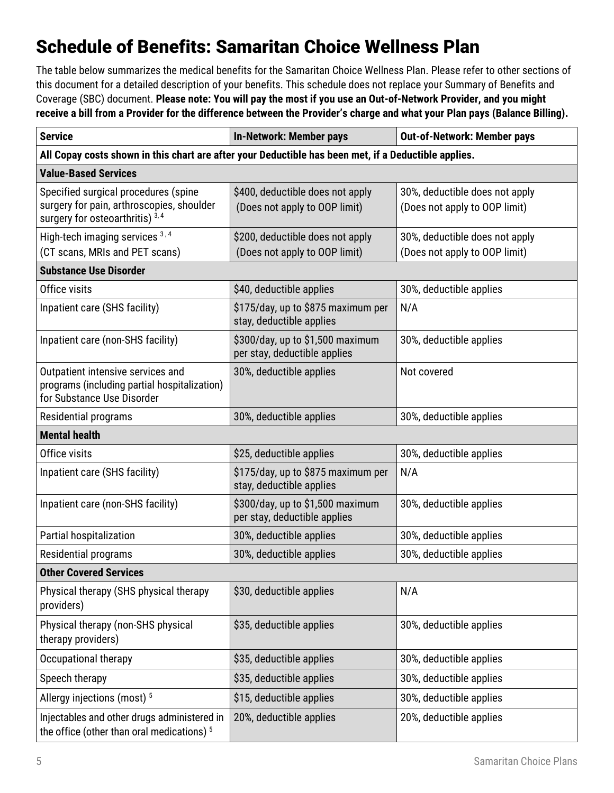# Schedule of Benefits: Samaritan Choice Wellness Plan

The table below summarizes the medical benefits for the Samaritan Choice Wellness Plan. Please refer to other sections of this document for a detailed description of your benefits. This schedule does not replace your Summary of Benefits and Coverage (SBC) document. **Please note: You will pay the most if you use an Out-of-Network Provider, and you might receive a bill from a Provider for the difference between the Provider's charge and what your Plan pays (Balance Billing).**

| <b>Service</b>                                                                                                         | <b>In-Network: Member pays</b>                                    | <b>Out-of-Network: Member pays</b>                              |
|------------------------------------------------------------------------------------------------------------------------|-------------------------------------------------------------------|-----------------------------------------------------------------|
| All Copay costs shown in this chart are after your Deductible has been met, if a Deductible applies.                   |                                                                   |                                                                 |
| <b>Value-Based Services</b>                                                                                            |                                                                   |                                                                 |
| Specified surgical procedures (spine<br>surgery for pain, arthroscopies, shoulder<br>surgery for osteoarthritis) $3,4$ | \$400, deductible does not apply<br>(Does not apply to OOP limit) | 30%, deductible does not apply<br>(Does not apply to OOP limit) |
| High-tech imaging services 3, 4<br>(CT scans, MRIs and PET scans)                                                      | \$200, deductible does not apply<br>(Does not apply to OOP limit) | 30%, deductible does not apply<br>(Does not apply to OOP limit) |
| <b>Substance Use Disorder</b>                                                                                          |                                                                   |                                                                 |
| Office visits                                                                                                          | \$40, deductible applies                                          | 30%, deductible applies                                         |
| Inpatient care (SHS facility)                                                                                          | \$175/day, up to \$875 maximum per<br>stay, deductible applies    | N/A                                                             |
| Inpatient care (non-SHS facility)                                                                                      | \$300/day, up to \$1,500 maximum<br>per stay, deductible applies  | 30%, deductible applies                                         |
| Outpatient intensive services and<br>programs (including partial hospitalization)<br>for Substance Use Disorder        | 30%, deductible applies                                           | Not covered                                                     |
| Residential programs                                                                                                   | 30%, deductible applies                                           | 30%, deductible applies                                         |
| <b>Mental health</b>                                                                                                   |                                                                   |                                                                 |
| Office visits                                                                                                          | \$25, deductible applies                                          | 30%, deductible applies                                         |
| Inpatient care (SHS facility)                                                                                          | \$175/day, up to \$875 maximum per<br>stay, deductible applies    | N/A                                                             |
| Inpatient care (non-SHS facility)                                                                                      | \$300/day, up to \$1,500 maximum<br>per stay, deductible applies  | 30%, deductible applies                                         |
| Partial hospitalization                                                                                                | 30%, deductible applies                                           | 30%, deductible applies                                         |
| Residential programs                                                                                                   | 30%, deductible applies                                           | 30%, deductible applies                                         |
| <b>Other Covered Services</b>                                                                                          |                                                                   |                                                                 |
| Physical therapy (SHS physical therapy<br>providers)                                                                   | \$30, deductible applies                                          | N/A                                                             |
| Physical therapy (non-SHS physical<br>therapy providers)                                                               | \$35, deductible applies                                          | 30%, deductible applies                                         |
| Occupational therapy                                                                                                   | \$35, deductible applies                                          | 30%, deductible applies                                         |
| Speech therapy                                                                                                         | \$35, deductible applies                                          | 30%, deductible applies                                         |
| Allergy injections (most) <sup>5</sup>                                                                                 | \$15, deductible applies                                          | 30%, deductible applies                                         |
| Injectables and other drugs administered in<br>the office (other than oral medications) <sup>5</sup>                   | 20%, deductible applies                                           | 20%, deductible applies                                         |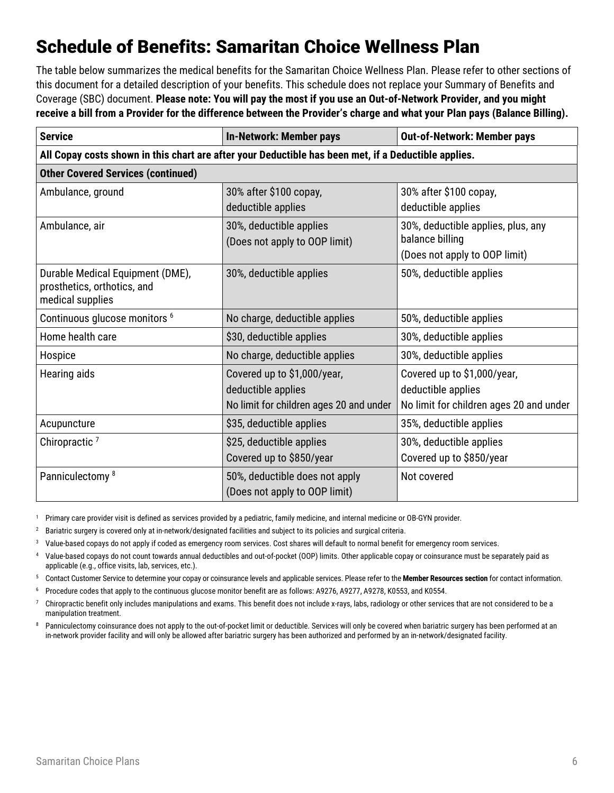# Schedule of Benefits: Samaritan Choice Wellness Plan

The table below summarizes the medical benefits for the Samaritan Choice Wellness Plan. Please refer to other sections of this document for a detailed description of your benefits. This schedule does not replace your Summary of Benefits and Coverage (SBC) document. **Please note: You will pay the most if you use an Out-of-Network Provider, and you might receive a bill from a Provider for the difference between the Provider's charge and what your Plan pays (Balance Billing).**

| <b>Service</b>                                                                      | <b>In-Network: Member pays</b>                                                                       | <b>Out-of-Network: Member pays</b>                                                           |
|-------------------------------------------------------------------------------------|------------------------------------------------------------------------------------------------------|----------------------------------------------------------------------------------------------|
|                                                                                     | All Copay costs shown in this chart are after your Deductible has been met, if a Deductible applies. |                                                                                              |
| <b>Other Covered Services (continued)</b>                                           |                                                                                                      |                                                                                              |
| Ambulance, ground                                                                   | 30% after \$100 copay,<br>deductible applies                                                         | 30% after \$100 copay,<br>deductible applies                                                 |
| Ambulance, air                                                                      | 30%, deductible applies<br>(Does not apply to OOP limit)                                             | 30%, deductible applies, plus, any<br>balance billing<br>(Does not apply to OOP limit)       |
| Durable Medical Equipment (DME),<br>prosthetics, orthotics, and<br>medical supplies | 30%, deductible applies                                                                              | 50%, deductible applies                                                                      |
| Continuous glucose monitors <sup>6</sup>                                            | No charge, deductible applies                                                                        | 50%, deductible applies                                                                      |
| Home health care                                                                    | \$30, deductible applies                                                                             | 30%, deductible applies                                                                      |
| Hospice                                                                             | No charge, deductible applies                                                                        | 30%, deductible applies                                                                      |
| Hearing aids                                                                        | Covered up to \$1,000/year,<br>deductible applies<br>No limit for children ages 20 and under         | Covered up to \$1,000/year,<br>deductible applies<br>No limit for children ages 20 and under |
| Acupuncture                                                                         | \$35, deductible applies                                                                             | 35%, deductible applies                                                                      |
| Chiropractic <sup>7</sup>                                                           | \$25, deductible applies<br>Covered up to \$850/year                                                 | 30%, deductible applies<br>Covered up to \$850/year                                          |
| Panniculectomy <sup>8</sup>                                                         | 50%, deductible does not apply<br>(Does not apply to OOP limit)                                      | Not covered                                                                                  |

<sup>1</sup> Primary care provider visit is defined as services provided by a pediatric, family medicine, and internal medicine or OB-GYN provider.

<sup>2</sup> Bariatric surgery is covered only at in-network/designated facilities and subject to its policies and surgical criteria.

<sup>3</sup> Value-based copays do not apply if coded as emergency room services. Cost shares will default to normal benefit for emergency room services.

- <sup>4</sup> Value-based copays do not count towards annual deductibles and out-of-pocket (OOP) limits. Other applicable copay or coinsurance must be separately paid as applicable (e.g., office visits, lab, services, etc.).
- <sup>5</sup>Contact Customer Service to determine your copay or coinsurance levels and applicable services. Please refer to the **Member Resources section** for contact information.

<sup>6</sup> Procedure codes that apply to the continuous glucose monitor benefit are as follows: A9276, A9277, A9278, K0553, and K0554.

<sup>7</sup> Chiropractic benefit only includes manipulations and exams. This benefit does not include x-rays, labs, radiology or other services that are not considered to be a manipulation treatment.

<sup>8</sup> Panniculectomy coinsurance does not apply to the out-of-pocket limit or deductible. Services will only be covered when bariatric surgery has been performed at an in-network provider facility and will only be allowed after bariatric surgery has been authorized and performed by an in-network/designated facility.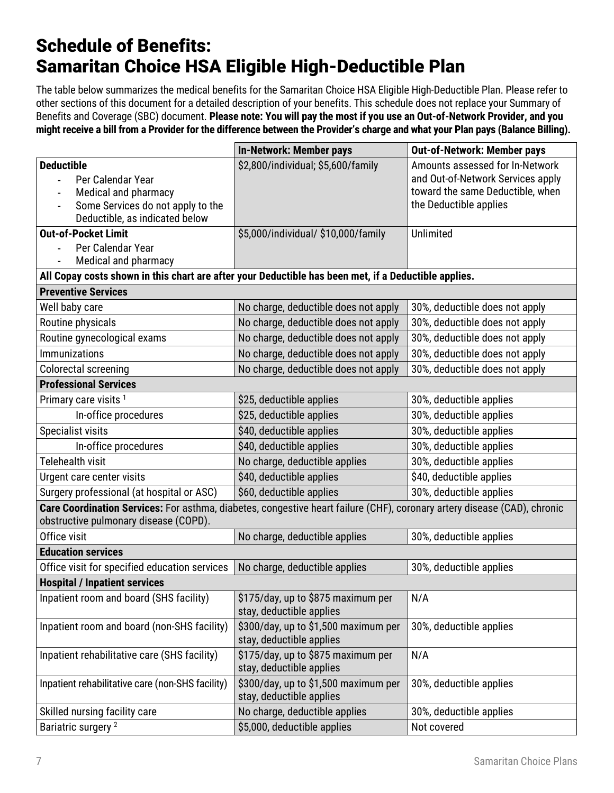# Schedule of Benefits: Samaritan Choice HSA Eligible High-Deductible Plan

The table below summarizes the medical benefits for the Samaritan Choice HSA Eligible High-Deductible Plan. Please refer to other sections of this document for a detailed description of your benefits. This schedule does not replace your Summary of Benefits and Coverage (SBC) document. **Please note: You will pay the most if you use an Out-of-Network Provider, and you might receive a bill from a Provider for the difference between the Provider's charge and what your Plan pays (Balance Billing).**

|                                                                                                                                                                   | <b>In-Network: Member pays</b>                                   | <b>Out-of-Network: Member pays</b>                                                                                                 |
|-------------------------------------------------------------------------------------------------------------------------------------------------------------------|------------------------------------------------------------------|------------------------------------------------------------------------------------------------------------------------------------|
| <b>Deductible</b><br>Per Calendar Year<br>Medical and pharmacy<br>$\blacksquare$<br>Some Services do not apply to the<br>Deductible, as indicated below           | \$2,800/individual; \$5,600/family                               | Amounts assessed for In-Network<br>and Out-of-Network Services apply<br>toward the same Deductible, when<br>the Deductible applies |
| <b>Out-of-Pocket Limit</b><br>Per Calendar Year<br>Medical and pharmacy                                                                                           | \$5,000/individual/ \$10,000/family                              | <b>Unlimited</b>                                                                                                                   |
| All Copay costs shown in this chart are after your Deductible has been met, if a Deductible applies.                                                              |                                                                  |                                                                                                                                    |
| <b>Preventive Services</b>                                                                                                                                        |                                                                  |                                                                                                                                    |
| Well baby care                                                                                                                                                    | No charge, deductible does not apply                             | 30%, deductible does not apply                                                                                                     |
| Routine physicals                                                                                                                                                 | No charge, deductible does not apply                             | 30%, deductible does not apply                                                                                                     |
| Routine gynecological exams                                                                                                                                       | No charge, deductible does not apply                             | 30%, deductible does not apply                                                                                                     |
| <b>Immunizations</b>                                                                                                                                              | No charge, deductible does not apply                             | 30%, deductible does not apply                                                                                                     |
| Colorectal screening                                                                                                                                              | No charge, deductible does not apply                             | 30%, deductible does not apply                                                                                                     |
| <b>Professional Services</b>                                                                                                                                      |                                                                  |                                                                                                                                    |
| Primary care visits <sup>1</sup>                                                                                                                                  | \$25, deductible applies                                         | 30%, deductible applies                                                                                                            |
| In-office procedures                                                                                                                                              | \$25, deductible applies                                         | 30%, deductible applies                                                                                                            |
| <b>Specialist visits</b>                                                                                                                                          | \$40, deductible applies                                         | 30%, deductible applies                                                                                                            |
| In-office procedures                                                                                                                                              | \$40, deductible applies                                         | 30%, deductible applies                                                                                                            |
| Telehealth visit                                                                                                                                                  | No charge, deductible applies                                    | 30%, deductible applies                                                                                                            |
| Urgent care center visits                                                                                                                                         | \$40, deductible applies                                         | \$40, deductible applies                                                                                                           |
| Surgery professional (at hospital or ASC)                                                                                                                         | \$60, deductible applies                                         | 30%, deductible applies                                                                                                            |
| Care Coordination Services: For asthma, diabetes, congestive heart failure (CHF), coronary artery disease (CAD), chronic<br>obstructive pulmonary disease (COPD). |                                                                  |                                                                                                                                    |
| Office visit                                                                                                                                                      | No charge, deductible applies                                    | 30%, deductible applies                                                                                                            |
| <b>Education services</b>                                                                                                                                         |                                                                  |                                                                                                                                    |
| Office visit for specified education services                                                                                                                     | No charge, deductible applies                                    | 30%, deductible applies                                                                                                            |
| <b>Hospital / Inpatient services</b>                                                                                                                              |                                                                  |                                                                                                                                    |
| Inpatient room and board (SHS facility)                                                                                                                           | \$175/day, up to \$875 maximum per<br>stay, deductible applies   | N/A                                                                                                                                |
| Inpatient room and board (non-SHS facility)                                                                                                                       | \$300/day, up to \$1,500 maximum per<br>stay, deductible applies | 30%, deductible applies                                                                                                            |
| Inpatient rehabilitative care (SHS facility)                                                                                                                      | \$175/day, up to \$875 maximum per<br>stay, deductible applies   | N/A                                                                                                                                |
| Inpatient rehabilitative care (non-SHS facility)                                                                                                                  | \$300/day, up to \$1,500 maximum per<br>stay, deductible applies | 30%, deductible applies                                                                                                            |
| Skilled nursing facility care                                                                                                                                     | No charge, deductible applies                                    | 30%, deductible applies                                                                                                            |
| Bariatric surgery <sup>2</sup>                                                                                                                                    | \$5,000, deductible applies                                      | Not covered                                                                                                                        |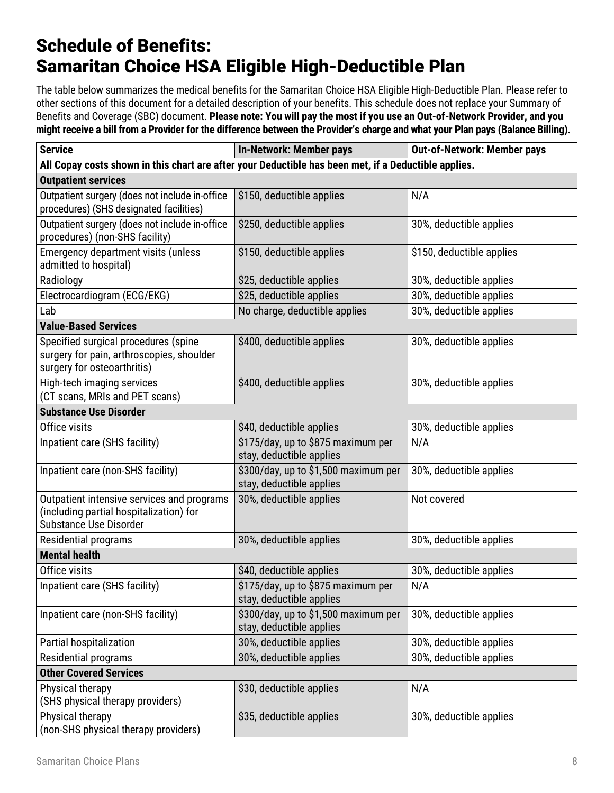# Schedule of Benefits: Samaritan Choice HSA Eligible High-Deductible Plan

The table below summarizes the medical benefits for the Samaritan Choice HSA Eligible High-Deductible Plan. Please refer to other sections of this document for a detailed description of your benefits. This schedule does not replace your Summary of Benefits and Coverage (SBC) document. **Please note: You will pay the most if you use an Out-of-Network Provider, and you might receive a bill from a Provider for the difference between the Provider's charge and what your Plan pays (Balance Billing).**

| <b>Service</b>                                                                                                         | <b>In-Network: Member pays</b>                                   | <b>Out-of-Network: Member pays</b> |
|------------------------------------------------------------------------------------------------------------------------|------------------------------------------------------------------|------------------------------------|
| All Copay costs shown in this chart are after your Deductible has been met, if a Deductible applies.                   |                                                                  |                                    |
| <b>Outpatient services</b>                                                                                             |                                                                  |                                    |
| Outpatient surgery (does not include in-office<br>procedures) (SHS designated facilities)                              | \$150, deductible applies                                        | N/A                                |
| Outpatient surgery (does not include in-office<br>procedures) (non-SHS facility)                                       | \$250, deductible applies                                        | 30%, deductible applies            |
| <b>Emergency department visits (unless</b><br>admitted to hospital)                                                    | \$150, deductible applies                                        | \$150, deductible applies          |
| Radiology                                                                                                              | \$25, deductible applies                                         | 30%, deductible applies            |
| Electrocardiogram (ECG/EKG)                                                                                            | \$25, deductible applies                                         | 30%, deductible applies            |
| Lab                                                                                                                    | No charge, deductible applies                                    | 30%, deductible applies            |
| <b>Value-Based Services</b>                                                                                            |                                                                  |                                    |
| Specified surgical procedures (spine<br>surgery for pain, arthroscopies, shoulder<br>surgery for osteoarthritis)       | \$400, deductible applies                                        | 30%, deductible applies            |
| High-tech imaging services<br>(CT scans, MRIs and PET scans)                                                           | \$400, deductible applies                                        | 30%, deductible applies            |
| <b>Substance Use Disorder</b>                                                                                          |                                                                  |                                    |
| Office visits                                                                                                          | \$40, deductible applies                                         | 30%, deductible applies            |
| Inpatient care (SHS facility)                                                                                          | \$175/day, up to \$875 maximum per<br>stay, deductible applies   | N/A                                |
| Inpatient care (non-SHS facility)                                                                                      | \$300/day, up to \$1,500 maximum per<br>stay, deductible applies | 30%, deductible applies            |
| Outpatient intensive services and programs<br>(including partial hospitalization) for<br><b>Substance Use Disorder</b> | 30%, deductible applies                                          | Not covered                        |
| Residential programs                                                                                                   | 30%, deductible applies                                          | 30%, deductible applies            |
| <b>Mental health</b>                                                                                                   |                                                                  |                                    |
| Office visits                                                                                                          | \$40, deductible applies                                         | 30%, deductible applies            |
| Inpatient care (SHS facility)                                                                                          | \$175/day, up to \$875 maximum per<br>stay, deductible applies   | N/A                                |
| Inpatient care (non-SHS facility)                                                                                      | \$300/day, up to \$1,500 maximum per<br>stay, deductible applies | 30%, deductible applies            |
| Partial hospitalization                                                                                                | 30%, deductible applies                                          | 30%, deductible applies            |
| Residential programs                                                                                                   | 30%, deductible applies                                          | 30%, deductible applies            |
| <b>Other Covered Services</b>                                                                                          |                                                                  |                                    |
| Physical therapy<br>(SHS physical therapy providers)                                                                   | \$30, deductible applies                                         | N/A                                |
| Physical therapy<br>(non-SHS physical therapy providers)                                                               | \$35, deductible applies                                         | 30%, deductible applies            |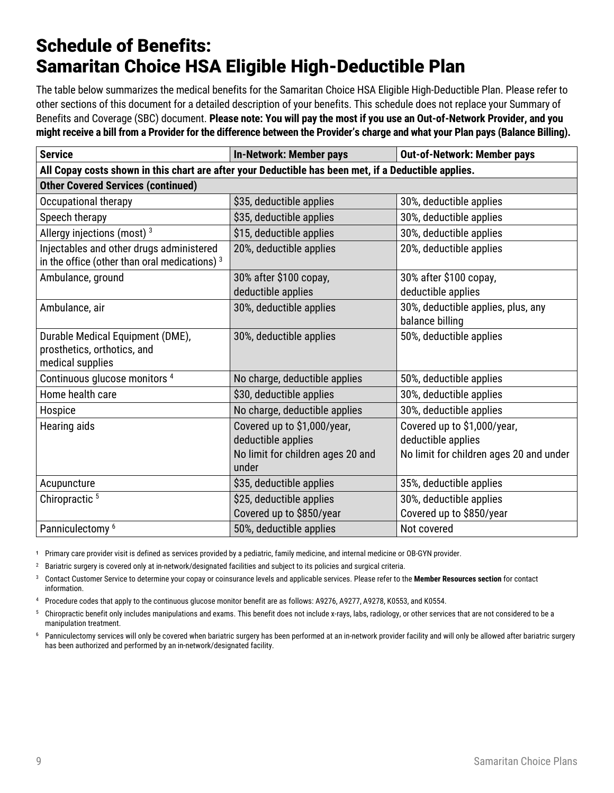# Schedule of Benefits: Samaritan Choice HSA Eligible High-Deductible Plan

The table below summarizes the medical benefits for the Samaritan Choice HSA Eligible High-Deductible Plan. Please refer to other sections of this document for a detailed description of your benefits. This schedule does not replace your Summary of Benefits and Coverage (SBC) document. **Please note: You will pay the most if you use an Out-of-Network Provider, and you might receive a bill from a Provider for the difference between the Provider's charge and what your Plan pays (Balance Billing).**

| <b>Service</b>                                                                              | <b>In-Network: Member pays</b>                                                                       | <b>Out-of-Network: Member pays</b>                                                           |  |
|---------------------------------------------------------------------------------------------|------------------------------------------------------------------------------------------------------|----------------------------------------------------------------------------------------------|--|
|                                                                                             | All Copay costs shown in this chart are after your Deductible has been met, if a Deductible applies. |                                                                                              |  |
| <b>Other Covered Services (continued)</b>                                                   |                                                                                                      |                                                                                              |  |
| Occupational therapy                                                                        | \$35, deductible applies                                                                             | 30%, deductible applies                                                                      |  |
| Speech therapy                                                                              | \$35, deductible applies                                                                             | 30%, deductible applies                                                                      |  |
| Allergy injections (most) $3$                                                               | \$15, deductible applies                                                                             | 30%, deductible applies                                                                      |  |
| Injectables and other drugs administered<br>in the office (other than oral medications) $3$ | 20%, deductible applies                                                                              | 20%, deductible applies                                                                      |  |
| Ambulance, ground                                                                           | 30% after \$100 copay,<br>deductible applies                                                         | 30% after \$100 copay,<br>deductible applies                                                 |  |
| Ambulance, air                                                                              | 30%, deductible applies                                                                              | 30%, deductible applies, plus, any<br>balance billing                                        |  |
| Durable Medical Equipment (DME),<br>prosthetics, orthotics, and<br>medical supplies         | 30%, deductible applies                                                                              | 50%, deductible applies                                                                      |  |
| Continuous glucose monitors <sup>4</sup>                                                    | No charge, deductible applies                                                                        | 50%, deductible applies                                                                      |  |
| Home health care                                                                            | \$30, deductible applies                                                                             | 30%, deductible applies                                                                      |  |
| Hospice                                                                                     | No charge, deductible applies                                                                        | 30%, deductible applies                                                                      |  |
| <b>Hearing aids</b>                                                                         | Covered up to \$1,000/year,<br>deductible applies<br>No limit for children ages 20 and<br>under      | Covered up to \$1,000/year,<br>deductible applies<br>No limit for children ages 20 and under |  |
| Acupuncture                                                                                 | \$35, deductible applies                                                                             | 35%, deductible applies                                                                      |  |
| Chiropractic <sup>5</sup>                                                                   | \$25, deductible applies<br>Covered up to \$850/year                                                 | 30%, deductible applies<br>Covered up to \$850/year                                          |  |
| Panniculectomy <sup>6</sup>                                                                 | 50%, deductible applies                                                                              | Not covered                                                                                  |  |

**<sup>1</sup>** Primary care provider visit is defined as services provided by a pediatric, family medicine, and internal medicine or OB-GYN provider.

<sup>2</sup> Bariatric surgery is covered only at in-network/designated facilities and subject to its policies and surgical criteria.

<sup>3</sup> Contact Customer Service to determine your copay or coinsurance levels and applicable services. Please refer to the **Member Resources section** for contact information.

<sup>4</sup> Procedure codes that apply to the continuous glucose monitor benefit are as follows: A9276, A9277, A9278, K0553, and K0554.

<sup>5</sup> Chiropractic benefit only includes manipulations and exams. This benefit does not include x-rays, labs, radiology, or other services that are not considered to be a manipulation treatment.

<sup>6</sup> Panniculectomy services will only be covered when bariatric surgery has been performed at an in-network provider facility and will only be allowed after bariatric surgery has been authorized and performed by an in-network/designated facility.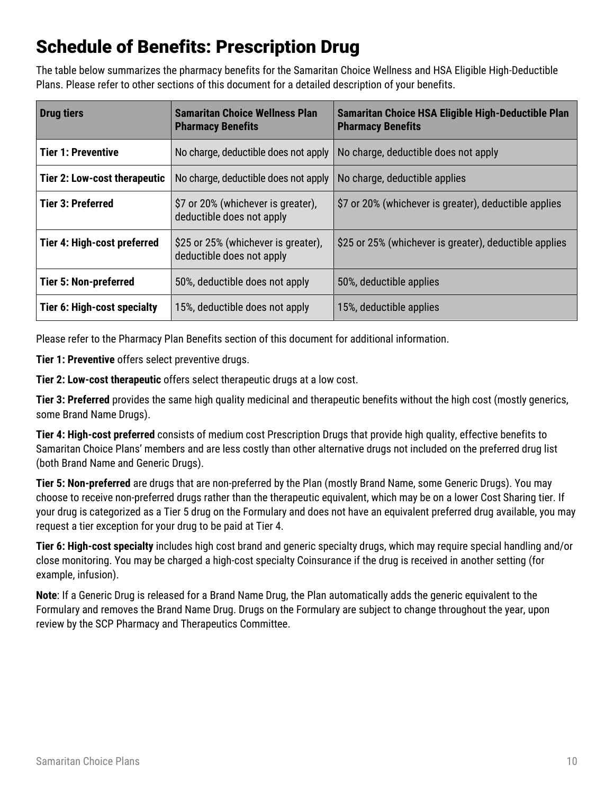# Schedule of Benefits: Prescription Drug

The table below summarizes the pharmacy benefits for the Samaritan Choice Wellness and HSA Eligible High-Deductible Plans. Please refer to other sections of this document for a detailed description of your benefits.

| <b>Drug tiers</b>                  | <b>Samaritan Choice Wellness Plan</b><br><b>Pharmacy Benefits</b> | Samaritan Choice HSA Eligible High-Deductible Plan<br><b>Pharmacy Benefits</b> |
|------------------------------------|-------------------------------------------------------------------|--------------------------------------------------------------------------------|
| <b>Tier 1: Preventive</b>          | No charge, deductible does not apply                              | No charge, deductible does not apply                                           |
| Tier 2: Low-cost therapeutic       | No charge, deductible does not apply                              | No charge, deductible applies                                                  |
| <b>Tier 3: Preferred</b>           | \$7 or 20% (whichever is greater),<br>deductible does not apply   | \$7 or 20% (whichever is greater), deductible applies                          |
| <b>Tier 4: High-cost preferred</b> | \$25 or 25% (whichever is greater),<br>deductible does not apply  | \$25 or 25% (whichever is greater), deductible applies                         |
| <b>Tier 5: Non-preferred</b>       | 50%, deductible does not apply                                    | 50%, deductible applies                                                        |
| <b>Tier 6: High-cost specialty</b> | 15%, deductible does not apply                                    | 15%, deductible applies                                                        |

Please refer to the Pharmacy Plan Benefits section of this document for additional information.

**Tier 1: Preventive** offers select preventive drugs.

**Tier 2: Low-cost therapeutic** offers select therapeutic drugs at a low cost.

**Tier 3: Preferred** provides the same high quality medicinal and therapeutic benefits without the high cost (mostly generics, some Brand Name Drugs).

**Tier 4: High-cost preferred** consists of medium cost Prescription Drugs that provide high quality, effective benefits to Samaritan Choice Plans' members and are less costly than other alternative drugs not included on the preferred drug list (both Brand Name and Generic Drugs).

**Tier 5: Non-preferred** are drugs that are non-preferred by the Plan (mostly Brand Name, some Generic Drugs). You may choose to receive non-preferred drugs rather than the therapeutic equivalent, which may be on a lower Cost Sharing tier. If your drug is categorized as a Tier 5 drug on the Formulary and does not have an equivalent preferred drug available, you may request a tier exception for your drug to be paid at Tier 4.

**Tier 6: High-cost specialty** includes high cost brand and generic specialty drugs, which may require special handling and/or close monitoring. You may be charged a high-cost specialty Coinsurance if the drug is received in another setting (for example, infusion).

**Note**: If a Generic Drug is released for a Brand Name Drug, the Plan automatically adds the generic equivalent to the Formulary and removes the Brand Name Drug. Drugs on the Formulary are subject to change throughout the year, upon review by the SCP Pharmacy and Therapeutics Committee.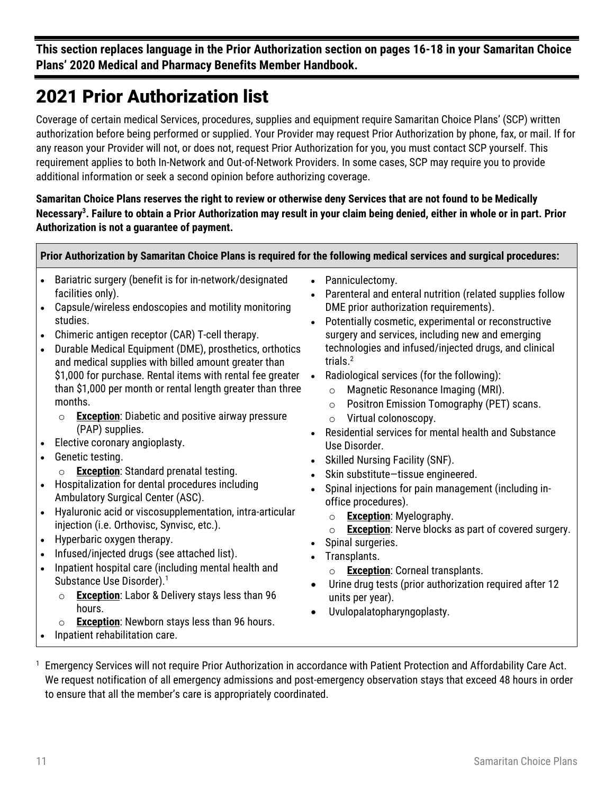**This section replaces language in the Prior Authorization section on pages 16-18 in your Samaritan Choice Plans' 2020 Medical and Pharmacy Benefits Member Handbook.**

# 2021 Prior Authorization list

Coverage of certain medical Services, procedures, supplies and equipment require Samaritan Choice Plans' (SCP) written authorization before being performed or supplied. Your Provider may request Prior Authorization by phone, fax, or mail. If for any reason your Provider will not, or does not, request Prior Authorization for you, you must contact SCP yourself. This requirement applies to both In-Network and Out-of-Network Providers. In some cases, SCP may require you to provide additional information or seek a second opinion before authorizing coverage.

**Samaritan Choice Plans reserves the right to review or otherwise deny Services that are not found to be Medically Necessary<sup>3</sup> . Failure to obtain a Prior Authorization may result in your claim being denied, either in whole or in part. Prior Authorization is not a guarantee of payment.**

**Prior Authorization by Samaritan Choice Plans is required for the following medical services and surgical procedures:**

- Bariatric surgery (benefit is for in-network/designated facilities only).
- Capsule/wireless endoscopies and motility monitoring studies.
- Chimeric antigen receptor (CAR) T-cell therapy.
- Durable Medical Equipment (DME), prosthetics, orthotics and medical supplies with billed amount greater than \$1,000 for purchase. Rental items with rental fee greater than \$1,000 per month or rental length greater than three months.
	- o **Exception**: Diabetic and positive airway pressure (PAP) supplies.
- Elective coronary angioplasty.
- Genetic testing.
	- o **Exception**: Standard prenatal testing.
- Hospitalization for dental procedures including Ambulatory Surgical Center (ASC).
- Hyaluronic acid or viscosupplementation, intra-articular injection (i.e. Orthovisc, Synvisc, etc.).
- Hyperbaric oxygen therapy.
- Infused/injected drugs (see attached list).
- Inpatient hospital care (including mental health and Substance Use Disorder). 1
	- o **Exception**: Labor & Delivery stays less than 96 hours.
	- o **Exception**: Newborn stays less than 96 hours.
- Inpatient rehabilitation care.
- Panniculectomy.
- Parenteral and enteral nutrition (related supplies follow DME prior authorization requirements).
- Potentially cosmetic, experimental or reconstructive surgery and services, including new and emerging technologies and infused/injected drugs, and clinical trials. 2
- Radiological services (for the following):
	- o Magnetic Resonance Imaging (MRI).
	- o Positron Emission Tomography (PET) scans.
	- o Virtual colonoscopy.
- Residential services for mental health and Substance Use Disorder.
- Skilled Nursing Facility (SNF).
- Skin substitute-tissue engineered.
- Spinal injections for pain management (including inoffice procedures).
	- o **Exception**: Myelography.
	- o **Exception**: Nerve blocks as part of covered surgery.
- Spinal surgeries.
- Transplants.
	- o **Exception**: Corneal transplants.
- Urine drug tests (prior authorization required after 12 units per year).
- Uvulopalatopharyngoplasty.
- <sup>1</sup> Emergency Services will not require Prior Authorization in accordance with Patient Protection and Affordability Care Act. We request notification of all emergency admissions and post-emergency observation stays that exceed 48 hours in order to ensure that all the member's care is appropriately coordinated.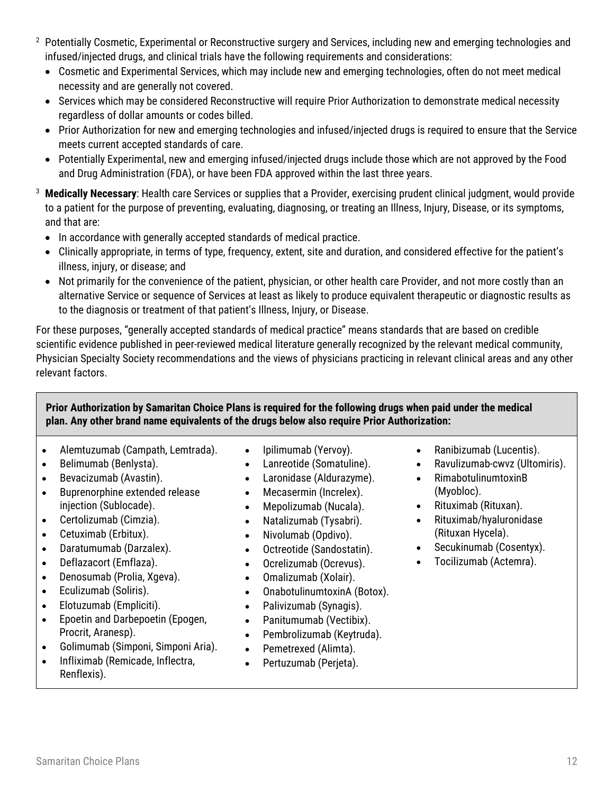- $2$  Potentially Cosmetic, Experimental or Reconstructive surgery and Services, including new and emerging technologies and infused/injected drugs, and clinical trials have the following requirements and considerations:
	- Cosmetic and Experimental Services, which may include new and emerging technologies, often do not meet medical necessity and are generally not covered.
	- Services which may be considered Reconstructive will require Prior Authorization to demonstrate medical necessity regardless of dollar amounts or codes billed.
	- Prior Authorization for new and emerging technologies and infused/injected drugs is required to ensure that the Service meets current accepted standards of care.
	- Potentially Experimental, new and emerging infused/injected drugs include those which are not approved by the Food and Drug Administration (FDA), or have been FDA approved within the last three years.
- <sup>3</sup> **Medically Necessary**: Health care Services or supplies that a Provider, exercising prudent clinical judgment, would provide to a patient for the purpose of preventing, evaluating, diagnosing, or treating an Illness, Injury, Disease, or its symptoms, and that are:
	- In accordance with generally accepted standards of medical practice.
	- Clinically appropriate, in terms of type, frequency, extent, site and duration, and considered effective for the patient's illness, injury, or disease; and
	- Not primarily for the convenience of the patient, physician, or other health care Provider, and not more costly than an alternative Service or sequence of Services at least as likely to produce equivalent therapeutic or diagnostic results as to the diagnosis or treatment of that patient's Illness, Injury, or Disease.

For these purposes, "generally accepted standards of medical practice" means standards that are based on credible scientific evidence published in peer-reviewed medical literature generally recognized by the relevant medical community, Physician Specialty Society recommendations and the views of physicians practicing in relevant clinical areas and any other relevant factors.

#### **Prior Authorization by Samaritan Choice Plans is required for the following drugs when paid under the medical plan. Any other brand name equivalents of the drugs below also require Prior Authorization:**

- Alemtuzumab (Campath, Lemtrada).
- Belimumab (Benlysta).
- Bevacizumab (Avastin).
- Buprenorphine extended release injection (Sublocade).
- Certolizumab (Cimzia).
- Cetuximab (Erbitux).
- Daratumumab (Darzalex).
- Deflazacort (Emflaza).
- Denosumab (Prolia, Xgeva).
- Eculizumab (Soliris).
- Elotuzumab (Empliciti).
- Epoetin and Darbepoetin (Epogen, Procrit, Aranesp).
- Golimumab (Simponi, Simponi Aria).
- Infliximab (Remicade, Inflectra, Renflexis).
- Ipilimumab (Yervoy).
- Lanreotide (Somatuline).
- Laronidase (Aldurazyme).
- Mecasermin (Increlex).
- Mepolizumab (Nucala).
- Natalizumab (Tysabri).
- Nivolumab (Opdivo).
- Octreotide (Sandostatin).
- Ocrelizumab (Ocrevus).
- Omalizumab (Xolair).
- OnabotulinumtoxinA (Botox).
- Palivizumab (Synagis).
- Panitumumab (Vectibix).
- Pembrolizumab (Keytruda).
- Pemetrexed (Alimta).
- Pertuzumab (Perjeta).
- Ranibizumab (Lucentis).
- Ravulizumab-cwvz (Ultomiris).
- RimabotulinumtoxinB (Myobloc).
- Rituximab (Rituxan).
- Rituximab/hyaluronidase (Rituxan Hycela).
- Secukinumab (Cosentyx).
- Tocilizumab (Actemra).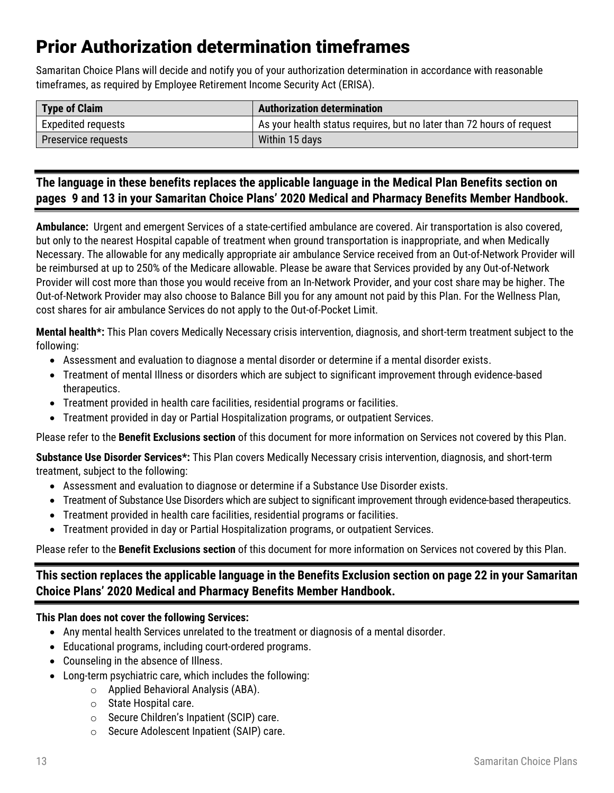# Prior Authorization determination timeframes

Samaritan Choice Plans will decide and notify you of your authorization determination in accordance with reasonable timeframes, as required by Employee Retirement Income Security Act (ERISA).

| Type of Claim             | <b>Authorization determination</b>                                    |
|---------------------------|-----------------------------------------------------------------------|
| <b>Expedited requests</b> | As your health status requires, but no later than 72 hours of request |
| Preservice requests       | Within 15 days                                                        |

### **The language in these benefits replaces the applicable language in the Medical Plan Benefits section on pages 9 and 13 in your Samaritan Choice Plans' 2020 Medical and Pharmacy Benefits Member Handbook.**

**Ambulance:** Urgent and emergent Services of a state-certified ambulance are covered. Air transportation is also covered, but only to the nearest Hospital capable of treatment when ground transportation is inappropriate, and when Medically Necessary. The allowable for any medically appropriate air ambulance Service received from an Out-of-Network Provider will be reimbursed at up to 250% of the Medicare allowable. Please be aware that Services provided by any Out-of-Network Provider will cost more than those you would receive from an In-Network Provider, and your cost share may be higher. The Out-of-Network Provider may also choose to Balance Bill you for any amount not paid by this Plan. For the Wellness Plan, cost shares for air ambulance Services do not apply to the Out-of-Pocket Limit.

**Mental health\*:** This Plan covers Medically Necessary crisis intervention, diagnosis, and short-term treatment subject to the following:

- Assessment and evaluation to diagnose a mental disorder or determine if a mental disorder exists.
- Treatment of mental Illness or disorders which are subject to significant improvement through evidence-based therapeutics.
- Treatment provided in health care facilities, residential programs or facilities.
- Treatment provided in day or Partial Hospitalization programs, or outpatient Services.

Please refer to the **Benefit Exclusions section** of this document for more information on Services not covered by this Plan.

**Substance Use Disorder Services\*:** This Plan covers Medically Necessary crisis intervention, diagnosis, and short-term treatment, subject to the following:

- Assessment and evaluation to diagnose or determine if a Substance Use Disorder exists.
- Treatment of Substance Use Disorders which are subject to significant improvement through evidence-based therapeutics.
- Treatment provided in health care facilities, residential programs or facilities.
- Treatment provided in day or Partial Hospitalization programs, or outpatient Services.

Please refer to the **Benefit Exclusions section** of this document for more information on Services not covered by this Plan.

#### **This section replaces the applicable language in the Benefits Exclusion section on page 22 in your Samaritan Choice Plans' 2020 Medical and Pharmacy Benefits Member Handbook.**

#### **This Plan does not cover the following Services:**

- Any mental health Services unrelated to the treatment or diagnosis of a mental disorder.
- Educational programs, including court-ordered programs.
- Counseling in the absence of Illness.
- Long-term psychiatric care, which includes the following:
	- o Applied Behavioral Analysis (ABA).
		- o State Hospital care.
		- o Secure Children's Inpatient (SCIP) care.
		- o Secure Adolescent Inpatient (SAIP) care.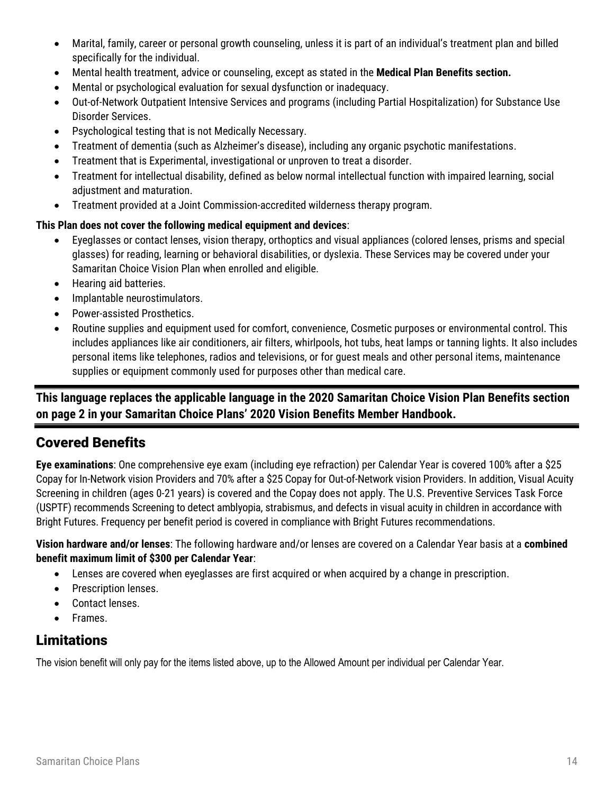- Marital, family, career or personal growth counseling, unless it is part of an individual's treatment plan and billed specifically for the individual.
- Mental health treatment, advice or counseling, except as stated in the **Medical Plan Benefits section.**
- Mental or psychological evaluation for sexual dysfunction or inadequacy.
- Out-of-Network Outpatient Intensive Services and programs (including Partial Hospitalization) for Substance Use Disorder Services.
- Psychological testing that is not Medically Necessary.
- Treatment of dementia (such as Alzheimer's disease), including any organic psychotic manifestations.
- Treatment that is Experimental, investigational or unproven to treat a disorder.
- Treatment for intellectual disability, defined as below normal intellectual function with impaired learning, social adjustment and maturation.
- Treatment provided at a Joint Commission-accredited wilderness therapy program.

#### **This Plan does not cover the following medical equipment and devices**:

- Eyeglasses or contact lenses, vision therapy, orthoptics and visual appliances (colored lenses, prisms and special glasses) for reading, learning or behavioral disabilities, or dyslexia. These Services may be covered under your Samaritan Choice Vision Plan when enrolled and eligible.
- Hearing aid batteries.
- Implantable neurostimulators.
- Power-assisted Prosthetics.
- Routine supplies and equipment used for comfort, convenience, Cosmetic purposes or environmental control. This includes appliances like air conditioners, air filters, whirlpools, hot tubs, heat lamps or tanning lights. It also includes personal items like telephones, radios and televisions, or for guest meals and other personal items, maintenance supplies or equipment commonly used for purposes other than medical care.

**This language replaces the applicable language in the 2020 Samaritan Choice Vision Plan Benefits section on page 2 in your Samaritan Choice Plans' 2020 Vision Benefits Member Handbook.**

# Covered Benefits

**Eye examinations**: One comprehensive eye exam (including eye refraction) per Calendar Year is covered 100% after a \$25 Copay for In-Network vision Providers and 70% after a \$25 Copay for Out-of-Network vision Providers. In addition, Visual Acuity Screening in children (ages 0-21 years) is covered and the Copay does not apply. The U.S. Preventive Services Task Force (USPTF) recommends Screening to detect amblyopia, strabismus, and defects in visual acuity in children in accordance with Bright Futures. Frequency per benefit period is covered in compliance with Bright Futures recommendations.

**Vision hardware and/or lenses**: The following hardware and/or lenses are covered on a Calendar Year basis at a **combined benefit maximum limit of \$300 per Calendar Year**:

- Lenses are covered when eyeglasses are first acquired or when acquired by a change in prescription.
- Prescription lenses.
- Contact lenses.
- Frames.

## **Limitations**

The vision benefit will only pay for the items listed above, up to the Allowed Amount per individual per Calendar Year.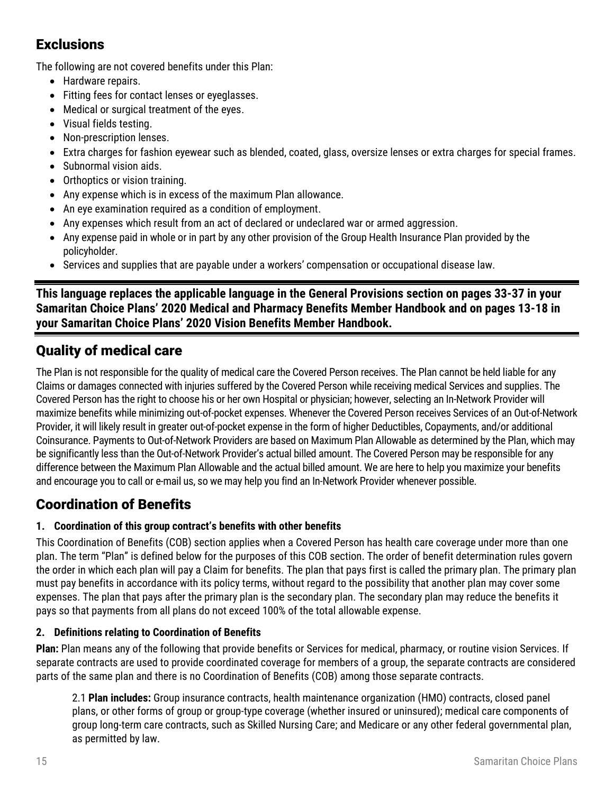# **Exclusions**

The following are not covered benefits under this Plan:

- Hardware repairs.
- Fitting fees for contact lenses or eyeglasses.
- Medical or surgical treatment of the eyes.
- Visual fields testing.
- Non-prescription lenses.
- Extra charges for fashion eyewear such as blended, coated, glass, oversize lenses or extra charges for special frames.
- Subnormal vision aids.
- Orthoptics or vision training.
- Any expense which is in excess of the maximum Plan allowance.
- An eye examination required as a condition of employment.
- Any expenses which result from an act of declared or undeclared war or armed aggression.
- Any expense paid in whole or in part by any other provision of the Group Health Insurance Plan provided by the policyholder.
- Services and supplies that are payable under a workers' compensation or occupational disease law.

#### **This language replaces the applicable language in the General Provisions section on pages 33-37 in your Samaritan Choice Plans' 2020 Medical and Pharmacy Benefits Member Handbook and on pages 13-18 in your Samaritan Choice Plans' 2020 Vision Benefits Member Handbook.**

# Quality of medical care

The Plan is not responsible for the quality of medical care the Covered Person receives. The Plan cannot be held liable for any Claims or damages connected with injuries suffered by the Covered Person while receiving medical Services and supplies. The Covered Person has the right to choose his or her own Hospital or physician; however, selecting an In-Network Provider will maximize benefits while minimizing out-of-pocket expenses. Whenever the Covered Person receives Services of an Out-of-Network Provider, it will likely result in greater out-of-pocket expense in the form of higher Deductibles, Copayments, and/or additional Coinsurance. Payments to Out-of-Network Providers are based on Maximum Plan Allowable as determined by the Plan, which may be significantly less than the Out-of-Network Provider's actual billed amount. The Covered Person may be responsible for any difference between the Maximum Plan Allowable and the actual billed amount. We are here to help you maximize your benefits and encourage you to call or e-mail us, so we may help you find an In-Network Provider whenever possible.

## Coordination of Benefits

#### **1. Coordination of this group contract's benefits with other benefits**

This Coordination of Benefits (COB) section applies when a Covered Person has health care coverage under more than one plan. The term "Plan" is defined below for the purposes of this COB section. The order of benefit determination rules govern the order in which each plan will pay a Claim for benefits. The plan that pays first is called the primary plan. The primary plan must pay benefits in accordance with its policy terms, without regard to the possibility that another plan may cover some expenses. The plan that pays after the primary plan is the secondary plan. The secondary plan may reduce the benefits it pays so that payments from all plans do not exceed 100% of the total allowable expense.

#### **2. Definitions relating to Coordination of Benefits**

**Plan:** Plan means any of the following that provide benefits or Services for medical, pharmacy, or routine vision Services. If separate contracts are used to provide coordinated coverage for members of a group, the separate contracts are considered parts of the same plan and there is no Coordination of Benefits (COB) among those separate contracts.

2.1 **Plan includes:** Group insurance contracts, health maintenance organization (HMO) contracts, closed panel plans, or other forms of group or group-type coverage (whether insured or uninsured); medical care components of group long-term care contracts, such as Skilled Nursing Care; and Medicare or any other federal governmental plan, as permitted by law.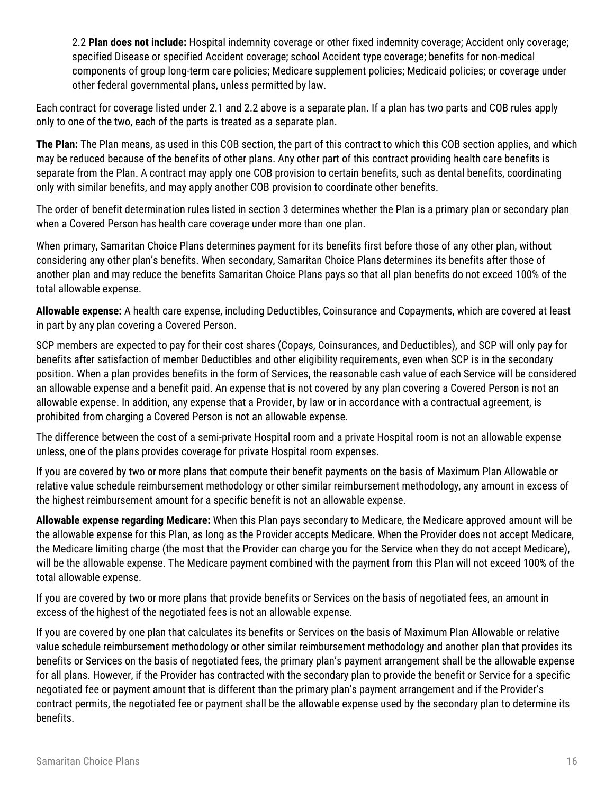2.2 **Plan does not include:** Hospital indemnity coverage or other fixed indemnity coverage; Accident only coverage; specified Disease or specified Accident coverage; school Accident type coverage; benefits for non-medical components of group long-term care policies; Medicare supplement policies; Medicaid policies; or coverage under other federal governmental plans, unless permitted by law.

Each contract for coverage listed under 2.1 and 2.2 above is a separate plan. If a plan has two parts and COB rules apply only to one of the two, each of the parts is treated as a separate plan.

**The Plan:** The Plan means, as used in this COB section, the part of this contract to which this COB section applies, and which may be reduced because of the benefits of other plans. Any other part of this contract providing health care benefits is separate from the Plan. A contract may apply one COB provision to certain benefits, such as dental benefits, coordinating only with similar benefits, and may apply another COB provision to coordinate other benefits.

The order of benefit determination rules listed in section 3 determines whether the Plan is a primary plan or secondary plan when a Covered Person has health care coverage under more than one plan.

When primary, Samaritan Choice Plans determines payment for its benefits first before those of any other plan, without considering any other plan's benefits. When secondary, Samaritan Choice Plans determines its benefits after those of another plan and may reduce the benefits Samaritan Choice Plans pays so that all plan benefits do not exceed 100% of the total allowable expense.

**Allowable expense:** A health care expense, including Deductibles, Coinsurance and Copayments, which are covered at least in part by any plan covering a Covered Person.

SCP members are expected to pay for their cost shares (Copays, Coinsurances, and Deductibles), and SCP will only pay for benefits after satisfaction of member Deductibles and other eligibility requirements, even when SCP is in the secondary position. When a plan provides benefits in the form of Services, the reasonable cash value of each Service will be considered an allowable expense and a benefit paid. An expense that is not covered by any plan covering a Covered Person is not an allowable expense. In addition, any expense that a Provider, by law or in accordance with a contractual agreement, is prohibited from charging a Covered Person is not an allowable expense.

The difference between the cost of a semi-private Hospital room and a private Hospital room is not an allowable expense unless, one of the plans provides coverage for private Hospital room expenses.

If you are covered by two or more plans that compute their benefit payments on the basis of Maximum Plan Allowable or relative value schedule reimbursement methodology or other similar reimbursement methodology, any amount in excess of the highest reimbursement amount for a specific benefit is not an allowable expense.

**Allowable expense regarding Medicare:** When this Plan pays secondary to Medicare, the Medicare approved amount will be the allowable expense for this Plan, as long as the Provider accepts Medicare. When the Provider does not accept Medicare, the Medicare limiting charge (the most that the Provider can charge you for the Service when they do not accept Medicare), will be the allowable expense. The Medicare payment combined with the payment from this Plan will not exceed 100% of the total allowable expense.

If you are covered by two or more plans that provide benefits or Services on the basis of negotiated fees, an amount in excess of the highest of the negotiated fees is not an allowable expense.

If you are covered by one plan that calculates its benefits or Services on the basis of Maximum Plan Allowable or relative value schedule reimbursement methodology or other similar reimbursement methodology and another plan that provides its benefits or Services on the basis of negotiated fees, the primary plan's payment arrangement shall be the allowable expense for all plans. However, if the Provider has contracted with the secondary plan to provide the benefit or Service for a specific negotiated fee or payment amount that is different than the primary plan's payment arrangement and if the Provider's contract permits, the negotiated fee or payment shall be the allowable expense used by the secondary plan to determine its benefits.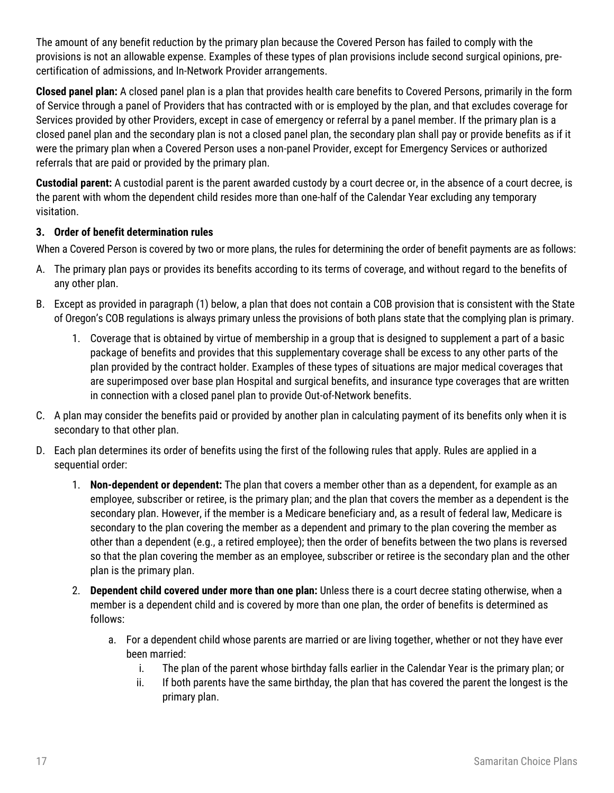The amount of any benefit reduction by the primary plan because the Covered Person has failed to comply with the provisions is not an allowable expense. Examples of these types of plan provisions include second surgical opinions, precertification of admissions, and In-Network Provider arrangements.

**Closed panel plan:** A closed panel plan is a plan that provides health care benefits to Covered Persons, primarily in the form of Service through a panel of Providers that has contracted with or is employed by the plan, and that excludes coverage for Services provided by other Providers, except in case of emergency or referral by a panel member. If the primary plan is a closed panel plan and the secondary plan is not a closed panel plan, the secondary plan shall pay or provide benefits as if it were the primary plan when a Covered Person uses a non-panel Provider, except for Emergency Services or authorized referrals that are paid or provided by the primary plan.

**Custodial parent:** A custodial parent is the parent awarded custody by a court decree or, in the absence of a court decree, is the parent with whom the dependent child resides more than one-half of the Calendar Year excluding any temporary visitation.

#### **3. Order of benefit determination rules**

When a Covered Person is covered by two or more plans, the rules for determining the order of benefit payments are as follows:

- A. The primary plan pays or provides its benefits according to its terms of coverage, and without regard to the benefits of any other plan.
- B. Except as provided in paragraph (1) below, a plan that does not contain a COB provision that is consistent with the State of Oregon's COB regulations is always primary unless the provisions of both plans state that the complying plan is primary.
	- 1. Coverage that is obtained by virtue of membership in a group that is designed to supplement a part of a basic package of benefits and provides that this supplementary coverage shall be excess to any other parts of the plan provided by the contract holder. Examples of these types of situations are major medical coverages that are superimposed over base plan Hospital and surgical benefits, and insurance type coverages that are written in connection with a closed panel plan to provide Out-of-Network benefits.
- C. A plan may consider the benefits paid or provided by another plan in calculating payment of its benefits only when it is secondary to that other plan.
- D. Each plan determines its order of benefits using the first of the following rules that apply. Rules are applied in a sequential order:
	- 1. **Non-dependent or dependent:** The plan that covers a member other than as a dependent, for example as an employee, subscriber or retiree, is the primary plan; and the plan that covers the member as a dependent is the secondary plan. However, if the member is a Medicare beneficiary and, as a result of federal law, Medicare is secondary to the plan covering the member as a dependent and primary to the plan covering the member as other than a dependent (e.g., a retired employee); then the order of benefits between the two plans is reversed so that the plan covering the member as an employee, subscriber or retiree is the secondary plan and the other plan is the primary plan.
	- 2. **Dependent child covered under more than one plan:** Unless there is a court decree stating otherwise, when a member is a dependent child and is covered by more than one plan, the order of benefits is determined as follows:
		- a. For a dependent child whose parents are married or are living together, whether or not they have ever been married:
			- i. The plan of the parent whose birthday falls earlier in the Calendar Year is the primary plan; or
			- ii. If both parents have the same birthday, the plan that has covered the parent the longest is the primary plan.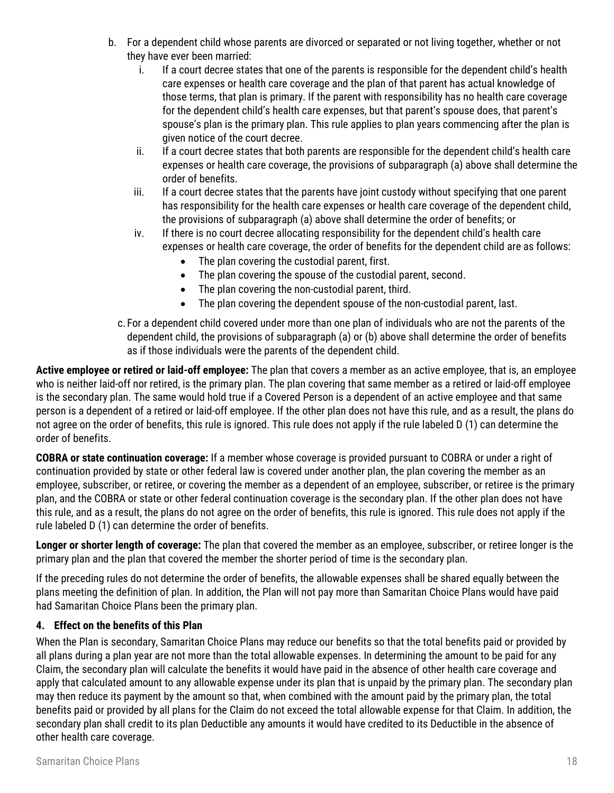- b. For a dependent child whose parents are divorced or separated or not living together, whether or not they have ever been married:
	- i. If a court decree states that one of the parents is responsible for the dependent child's health care expenses or health care coverage and the plan of that parent has actual knowledge of those terms, that plan is primary. If the parent with responsibility has no health care coverage for the dependent child's health care expenses, but that parent's spouse does, that parent's spouse's plan is the primary plan. This rule applies to plan years commencing after the plan is given notice of the court decree.
	- ii. If a court decree states that both parents are responsible for the dependent child's health care expenses or health care coverage, the provisions of subparagraph (a) above shall determine the order of benefits.
	- iii. If a court decree states that the parents have joint custody without specifying that one parent has responsibility for the health care expenses or health care coverage of the dependent child, the provisions of subparagraph (a) above shall determine the order of benefits; or
	- iv. If there is no court decree allocating responsibility for the dependent child's health care expenses or health care coverage, the order of benefits for the dependent child are as follows:
		- The plan covering the custodial parent, first.
		- The plan covering the spouse of the custodial parent, second.
		- The plan covering the non-custodial parent, third.
		- The plan covering the dependent spouse of the non-custodial parent, last.
	- c.For a dependent child covered under more than one plan of individuals who are not the parents of the dependent child, the provisions of subparagraph (a) or (b) above shall determine the order of benefits as if those individuals were the parents of the dependent child.

**Active employee or retired or laid-off employee:** The plan that covers a member as an active employee, that is, an employee who is neither laid-off nor retired, is the primary plan. The plan covering that same member as a retired or laid-off employee is the secondary plan. The same would hold true if a Covered Person is a dependent of an active employee and that same person is a dependent of a retired or laid-off employee. If the other plan does not have this rule, and as a result, the plans do not agree on the order of benefits, this rule is ignored. This rule does not apply if the rule labeled D (1) can determine the order of benefits.

**COBRA or state continuation coverage:** If a member whose coverage is provided pursuant to COBRA or under a right of continuation provided by state or other federal law is covered under another plan, the plan covering the member as an employee, subscriber, or retiree, or covering the member as a dependent of an employee, subscriber, or retiree is the primary plan, and the COBRA or state or other federal continuation coverage is the secondary plan. If the other plan does not have this rule, and as a result, the plans do not agree on the order of benefits, this rule is ignored. This rule does not apply if the rule labeled D (1) can determine the order of benefits.

**Longer or shorter length of coverage:** The plan that covered the member as an employee, subscriber, or retiree longer is the primary plan and the plan that covered the member the shorter period of time is the secondary plan.

If the preceding rules do not determine the order of benefits, the allowable expenses shall be shared equally between the plans meeting the definition of plan. In addition, the Plan will not pay more than Samaritan Choice Plans would have paid had Samaritan Choice Plans been the primary plan.

#### **4. Effect on the benefits of this Plan**

When the Plan is secondary, Samaritan Choice Plans may reduce our benefits so that the total benefits paid or provided by all plans during a plan year are not more than the total allowable expenses. In determining the amount to be paid for any Claim, the secondary plan will calculate the benefits it would have paid in the absence of other health care coverage and apply that calculated amount to any allowable expense under its plan that is unpaid by the primary plan. The secondary plan may then reduce its payment by the amount so that, when combined with the amount paid by the primary plan, the total benefits paid or provided by all plans for the Claim do not exceed the total allowable expense for that Claim. In addition, the secondary plan shall credit to its plan Deductible any amounts it would have credited to its Deductible in the absence of other health care coverage.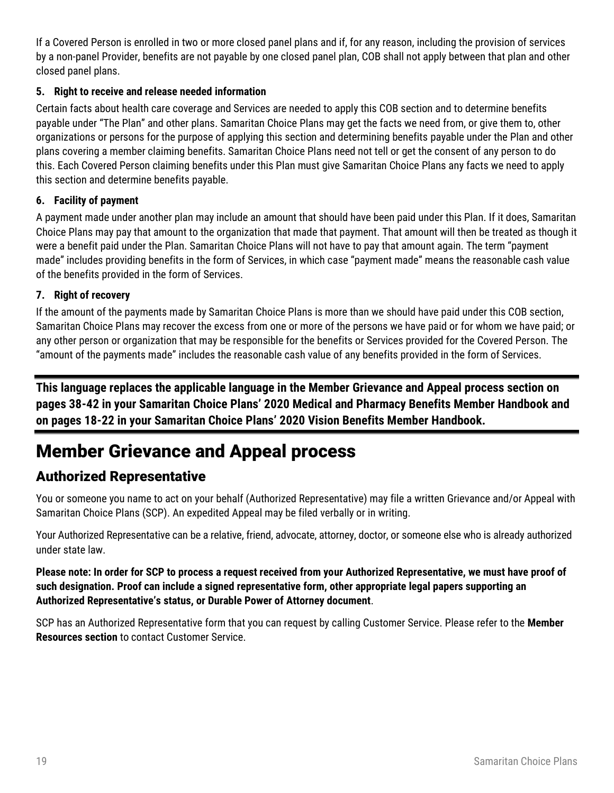If a Covered Person is enrolled in two or more closed panel plans and if, for any reason, including the provision of services by a non-panel Provider, benefits are not payable by one closed panel plan, COB shall not apply between that plan and other closed panel plans.

#### **5. Right to receive and release needed information**

Certain facts about health care coverage and Services are needed to apply this COB section and to determine benefits payable under "The Plan" and other plans. Samaritan Choice Plans may get the facts we need from, or give them to, other organizations or persons for the purpose of applying this section and determining benefits payable under the Plan and other plans covering a member claiming benefits. Samaritan Choice Plans need not tell or get the consent of any person to do this. Each Covered Person claiming benefits under this Plan must give Samaritan Choice Plans any facts we need to apply this section and determine benefits payable.

#### **6. Facility of payment**

A payment made under another plan may include an amount that should have been paid under this Plan. If it does, Samaritan Choice Plans may pay that amount to the organization that made that payment. That amount will then be treated as though it were a benefit paid under the Plan. Samaritan Choice Plans will not have to pay that amount again. The term "payment made" includes providing benefits in the form of Services, in which case "payment made" means the reasonable cash value of the benefits provided in the form of Services.

#### **7. Right of recovery**

If the amount of the payments made by Samaritan Choice Plans is more than we should have paid under this COB section, Samaritan Choice Plans may recover the excess from one or more of the persons we have paid or for whom we have paid; or any other person or organization that may be responsible for the benefits or Services provided for the Covered Person. The "amount of the payments made" includes the reasonable cash value of any benefits provided in the form of Services.

**This language replaces the applicable language in the Member Grievance and Appeal process section on pages 38-42 in your Samaritan Choice Plans' 2020 Medical and Pharmacy Benefits Member Handbook and on pages 18-22 in your Samaritan Choice Plans' 2020 Vision Benefits Member Handbook.**

# Member Grievance and Appeal process

### Authorized Representative

You or someone you name to act on your behalf (Authorized Representative) may file a written Grievance and/or Appeal with Samaritan Choice Plans (SCP). An expedited Appeal may be filed verbally or in writing.

Your Authorized Representative can be a relative, friend, advocate, attorney, doctor, or someone else who is already authorized under state law.

**Please note: In order for SCP to process a request received from your Authorized Representative, we must have proof of such designation. Proof can include a signed representative form, other appropriate legal papers supporting an Authorized Representative's status, or Durable Power of Attorney document**.

SCP has an Authorized Representative form that you can request by calling Customer Service. Please refer to the **Member Resources section** to contact Customer Service.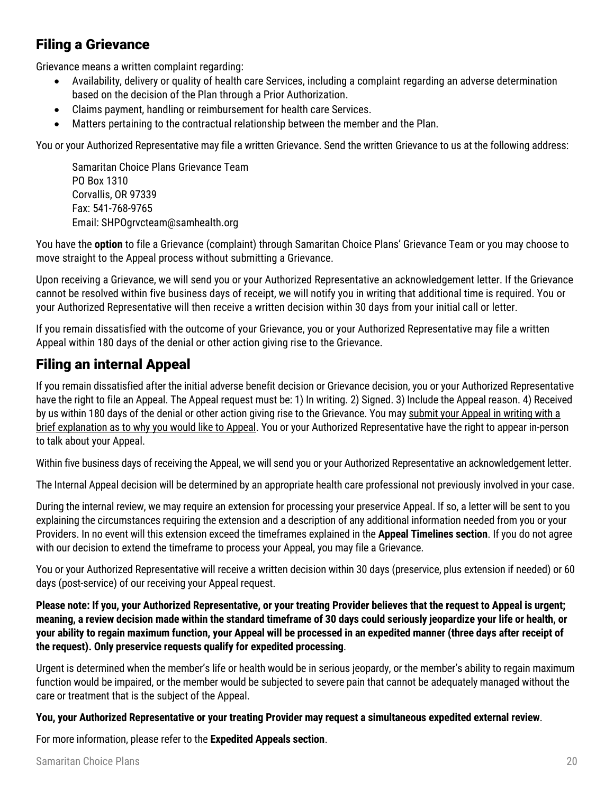# Filing a Grievance

Grievance means a written complaint regarding:

- Availability, delivery or quality of health care Services, including a complaint regarding an adverse determination based on the decision of the Plan through a Prior Authorization.
- Claims payment, handling or reimbursement for health care Services.
- Matters pertaining to the contractual relationship between the member and the Plan.

You or your Authorized Representative may file a written Grievance. Send the written Grievance to us at the following address:

Samaritan Choice Plans Grievance Team PO Box 1310 Corvallis, OR 97339 Fax: 541-768-9765 Email: SHPOgrvcteam@samhealth.org

You have the **option** to file a Grievance (complaint) through Samaritan Choice Plans' Grievance Team or you may choose to move straight to the Appeal process without submitting a Grievance.

Upon receiving a Grievance, we will send you or your Authorized Representative an acknowledgement letter. If the Grievance cannot be resolved within five business days of receipt, we will notify you in writing that additional time is required. You or your Authorized Representative will then receive a written decision within 30 days from your initial call or letter.

If you remain dissatisfied with the outcome of your Grievance, you or your Authorized Representative may file a written Appeal within 180 days of the denial or other action giving rise to the Grievance.

# Filing an internal Appeal

If you remain dissatisfied after the initial adverse benefit decision or Grievance decision, you or your Authorized Representative have the right to file an Appeal. The Appeal request must be: 1) In writing. 2) Signed. 3) Include the Appeal reason. 4) Received by us within 180 days of the denial or other action giving rise to the Grievance. You may submit your Appeal in writing with a brief explanation as to why you would like to Appeal. You or your Authorized Representative have the right to appear in-person to talk about your Appeal.

Within five business days of receiving the Appeal, we will send you or your Authorized Representative an acknowledgement letter.

The Internal Appeal decision will be determined by an appropriate health care professional not previously involved in your case.

During the internal review, we may require an extension for processing your preservice Appeal. If so, a letter will be sent to you explaining the circumstances requiring the extension and a description of any additional information needed from you or your Providers. In no event will this extension exceed the timeframes explained in the **Appeal Timelines section**. If you do not agree with our decision to extend the timeframe to process your Appeal, you may file a Grievance.

You or your Authorized Representative will receive a written decision within 30 days (preservice, plus extension if needed) or 60 days (post-service) of our receiving your Appeal request.

**Please note: If you, your Authorized Representative, or your treating Provider believes that the request to Appeal is urgent; meaning, a review decision made within the standard timeframe of 30 days could seriously jeopardize your life or health, or your ability to regain maximum function, your Appeal will be processed in an expedited manner (three days after receipt of the request). Only preservice requests qualify for expedited processing**.

Urgent is determined when the member's life or health would be in serious jeopardy, or the member's ability to regain maximum function would be impaired, or the member would be subjected to severe pain that cannot be adequately managed without the care or treatment that is the subject of the Appeal.

**You, your Authorized Representative or your treating Provider may request a simultaneous expedited external review**.

For more information, please refer to the **Expedited Appeals section**.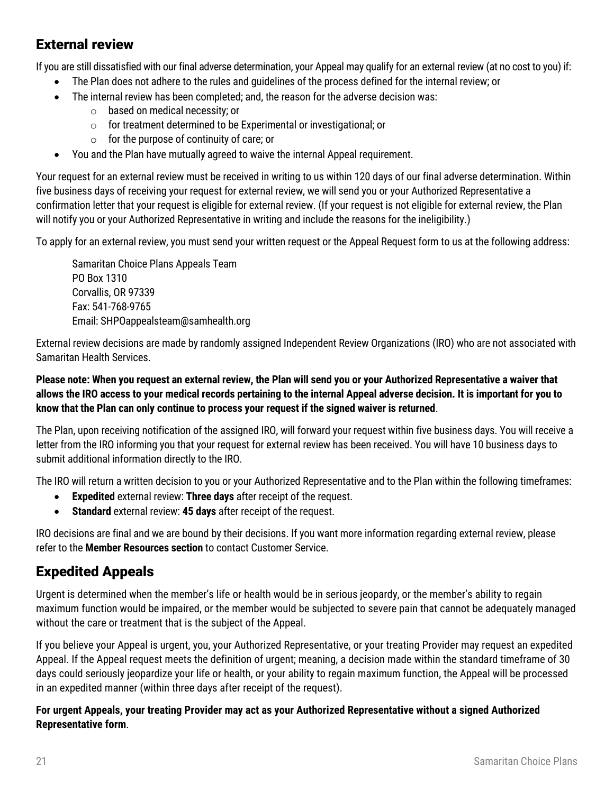# External review

If you are still dissatisfied with our final adverse determination, your Appeal may qualify for an external review (at no cost to you) if:

- The Plan does not adhere to the rules and guidelines of the process defined for the internal review; or
- The internal review has been completed; and, the reason for the adverse decision was:
	- $\circ$  based on medical necessity; or
	- $\circ$  for treatment determined to be Experimental or investigational; or
	- $\circ$  for the purpose of continuity of care; or
- You and the Plan have mutually agreed to waive the internal Appeal requirement.

Your request for an external review must be received in writing to us within 120 days of our final adverse determination. Within five business days of receiving your request for external review, we will send you or your Authorized Representative a confirmation letter that your request is eligible for external review. (If your request is not eligible for external review, the Plan will notify you or your Authorized Representative in writing and include the reasons for the ineligibility.)

To apply for an external review, you must send your written request or the Appeal Request form to us at the following address:

Samaritan Choice Plans Appeals Team PO Box 1310 Corvallis, OR 97339 Fax: 541-768-9765 Email: SHPOappealsteam@samhealth.org

External review decisions are made by randomly assigned Independent Review Organizations (IRO) who are not associated with Samaritan Health Services.

**Please note: When you request an external review, the Plan will send you or your Authorized Representative a waiver that allows the IRO access to your medical records pertaining to the internal Appeal adverse decision. It is important for you to know that the Plan can only continue to process your request if the signed waiver is returned**.

The Plan, upon receiving notification of the assigned IRO, will forward your request within five business days. You will receive a letter from the IRO informing you that your request for external review has been received. You will have 10 business days to submit additional information directly to the IRO.

The IRO will return a written decision to you or your Authorized Representative and to the Plan within the following timeframes:

- **Expedited** external review: **Three days** after receipt of the request.
- **Standard** external review: **45 days** after receipt of the request.

IRO decisions are final and we are bound by their decisions. If you want more information regarding external review, please refer to the **Member Resources section** to contact Customer Service.

# Expedited Appeals

Urgent is determined when the member's life or health would be in serious jeopardy, or the member's ability to regain maximum function would be impaired, or the member would be subjected to severe pain that cannot be adequately managed without the care or treatment that is the subject of the Appeal.

If you believe your Appeal is urgent, you, your Authorized Representative, or your treating Provider may request an expedited Appeal. If the Appeal request meets the definition of urgent; meaning, a decision made within the standard timeframe of 30 days could seriously jeopardize your life or health, or your ability to regain maximum function, the Appeal will be processed in an expedited manner (within three days after receipt of the request).

**For urgent Appeals, your treating Provider may act as your Authorized Representative without a signed Authorized Representative form**.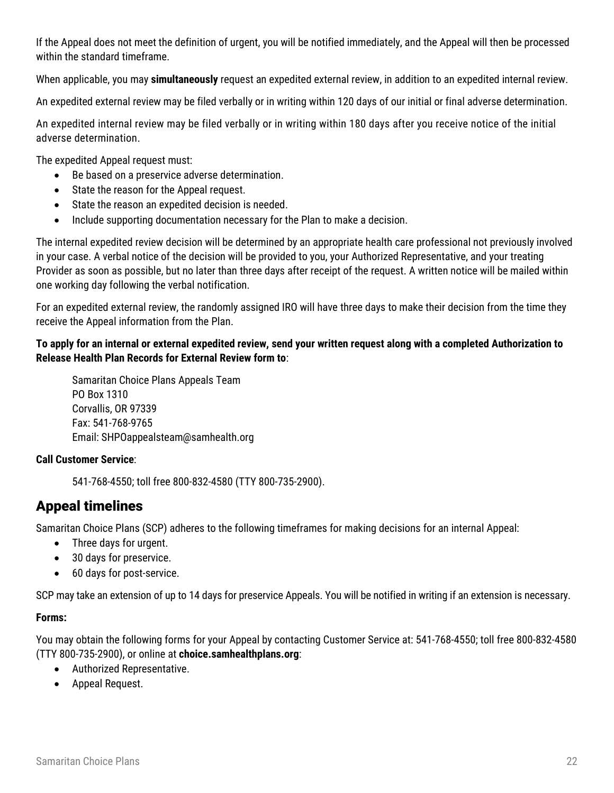If the Appeal does not meet the definition of urgent, you will be notified immediately, and the Appeal will then be processed within the standard timeframe.

When applicable, you may **simultaneously** request an expedited external review, in addition to an expedited internal review.

An expedited external review may be filed verbally or in writing within 120 days of our initial or final adverse determination.

An expedited internal review may be filed verbally or in writing within 180 days after you receive notice of the initial adverse determination.

The expedited Appeal request must:

- Be based on a preservice adverse determination.
- State the reason for the Appeal request.
- State the reason an expedited decision is needed.
- Include supporting documentation necessary for the Plan to make a decision.

The internal expedited review decision will be determined by an appropriate health care professional not previously involved in your case. A verbal notice of the decision will be provided to you, your Authorized Representative, and your treating Provider as soon as possible, but no later than three days after receipt of the request. A written notice will be mailed within one working day following the verbal notification.

For an expedited external review, the randomly assigned IRO will have three days to make their decision from the time they receive the Appeal information from the Plan.

#### **To apply for an internal or external expedited review, send your written request along with a completed Authorization to Release Health Plan Records for External Review form to**:

Samaritan Choice Plans Appeals Team PO Box 1310 Corvallis, OR 97339 Fax: 541-768-9765 Email: SHPOappealsteam@samhealth.org

#### **Call Customer Service**:

541-768-4550; toll free 800-832-4580 (TTY 800-735-2900).

# Appeal timelines

Samaritan Choice Plans (SCP) adheres to the following timeframes for making decisions for an internal Appeal:

- Three days for urgent.
- 30 days for preservice.
- 60 days for post-service.

SCP may take an extension of up to 14 days for preservice Appeals. You will be notified in writing if an extension is necessary.

#### **Forms:**

You may obtain the following forms for your Appeal by contacting Customer Service at: 541-768-4550; toll free 800-832-4580 (TTY 800-735-2900), or online at **choice.samhealthplans.org**:

- Authorized Representative.
- Appeal Request.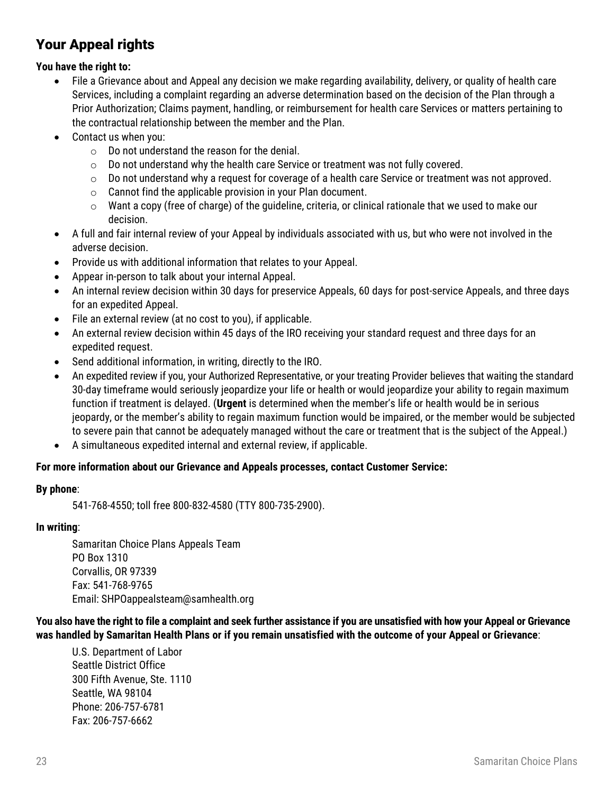# Your Appeal rights

#### **You have the right to:**

- File a Grievance about and Appeal any decision we make regarding availability, delivery, or quality of health care Services, including a complaint regarding an adverse determination based on the decision of the Plan through a Prior Authorization; Claims payment, handling, or reimbursement for health care Services or matters pertaining to the contractual relationship between the member and the Plan.
- Contact us when you:
	- $\circ$  Do not understand the reason for the denial.
	- o Do not understand why the health care Service or treatment was not fully covered.
	- $\circ$  Do not understand why a request for coverage of a health care Service or treatment was not approved.
	- $\circ$  Cannot find the applicable provision in your Plan document.
	- $\circ$  Want a copy (free of charge) of the guideline, criteria, or clinical rationale that we used to make our decision.
- A full and fair internal review of your Appeal by individuals associated with us, but who were not involved in the adverse decision.
- Provide us with additional information that relates to your Appeal.
- Appear in-person to talk about your internal Appeal.
- An internal review decision within 30 days for preservice Appeals, 60 days for post-service Appeals, and three days for an expedited Appeal.
- File an external review (at no cost to you), if applicable.
- An external review decision within 45 days of the IRO receiving your standard request and three days for an expedited request.
- Send additional information, in writing, directly to the IRO.
- An expedited review if you, your Authorized Representative, or your treating Provider believes that waiting the standard 30-day timeframe would seriously jeopardize your life or health or would jeopardize your ability to regain maximum function if treatment is delayed. (**Urgent** is determined when the member's life or health would be in serious jeopardy, or the member's ability to regain maximum function would be impaired, or the member would be subjected to severe pain that cannot be adequately managed without the care or treatment that is the subject of the Appeal.)
- A simultaneous expedited internal and external review, if applicable.

#### **For more information about our Grievance and Appeals processes, contact Customer Service:**

#### **By phone**:

541-768-4550; toll free 800-832-4580 (TTY 800-735-2900).

#### **In writing**:

Samaritan Choice Plans Appeals Team PO Box 1310 Corvallis, OR 97339 Fax: 541-768-9765 Email: SHPOappealsteam@samhealth.org

**You also have the right to file a complaint and seek further assistance if you are unsatisfied with how your Appeal or Grievance was handled by Samaritan Health Plans or if you remain unsatisfied with the outcome of your Appeal or Grievance**:

U.S. Department of Labor Seattle District Office 300 Fifth Avenue, Ste. 1110 Seattle, WA 98104 Phone: 206-757-6781 Fax: 206-757-6662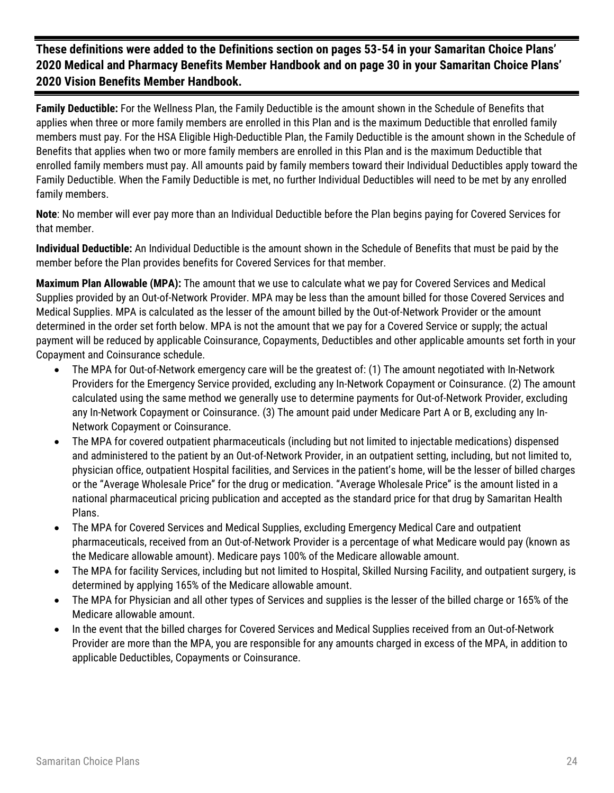#### **These definitions were added to the Definitions section on pages 53-54 in your Samaritan Choice Plans' 2020 Medical and Pharmacy Benefits Member Handbook and on page 30 in your Samaritan Choice Plans' 2020 Vision Benefits Member Handbook.**

**Family Deductible:** For the Wellness Plan, the Family Deductible is the amount shown in the Schedule of Benefits that applies when three or more family members are enrolled in this Plan and is the maximum Deductible that enrolled family members must pay. For the HSA Eligible High-Deductible Plan, the Family Deductible is the amount shown in the Schedule of Benefits that applies when two or more family members are enrolled in this Plan and is the maximum Deductible that enrolled family members must pay. All amounts paid by family members toward their Individual Deductibles apply toward the Family Deductible. When the Family Deductible is met, no further Individual Deductibles will need to be met by any enrolled family members.

**Note**: No member will ever pay more than an Individual Deductible before the Plan begins paying for Covered Services for that member.

**Individual Deductible:** An Individual Deductible is the amount shown in the Schedule of Benefits that must be paid by the member before the Plan provides benefits for Covered Services for that member.

**Maximum Plan Allowable (MPA):** The amount that we use to calculate what we pay for Covered Services and Medical Supplies provided by an Out-of-Network Provider. MPA may be less than the amount billed for those Covered Services and Medical Supplies. MPA is calculated as the lesser of the amount billed by the Out-of-Network Provider or the amount determined in the order set forth below. MPA is not the amount that we pay for a Covered Service or supply; the actual payment will be reduced by applicable Coinsurance, Copayments, Deductibles and other applicable amounts set forth in your Copayment and Coinsurance schedule.

- The MPA for Out-of-Network emergency care will be the greatest of: (1) The amount negotiated with In-Network Providers for the Emergency Service provided, excluding any In-Network Copayment or Coinsurance. (2) The amount calculated using the same method we generally use to determine payments for Out-of-Network Provider, excluding any In-Network Copayment or Coinsurance. (3) The amount paid under Medicare Part A or B, excluding any In-Network Copayment or Coinsurance.
- The MPA for covered outpatient pharmaceuticals (including but not limited to injectable medications) dispensed and administered to the patient by an Out-of-Network Provider, in an outpatient setting, including, but not limited to, physician office, outpatient Hospital facilities, and Services in the patient's home, will be the lesser of billed charges or the "Average Wholesale Price" for the drug or medication. "Average Wholesale Price" is the amount listed in a national pharmaceutical pricing publication and accepted as the standard price for that drug by Samaritan Health Plans.
- The MPA for Covered Services and Medical Supplies, excluding Emergency Medical Care and outpatient pharmaceuticals, received from an Out-of-Network Provider is a percentage of what Medicare would pay (known as the Medicare allowable amount). Medicare pays 100% of the Medicare allowable amount.
- The MPA for facility Services, including but not limited to Hospital, Skilled Nursing Facility, and outpatient surgery, is determined by applying 165% of the Medicare allowable amount.
- The MPA for Physician and all other types of Services and supplies is the lesser of the billed charge or 165% of the Medicare allowable amount.
- In the event that the billed charges for Covered Services and Medical Supplies received from an Out-of-Network Provider are more than the MPA, you are responsible for any amounts charged in excess of the MPA, in addition to applicable Deductibles, Copayments or Coinsurance.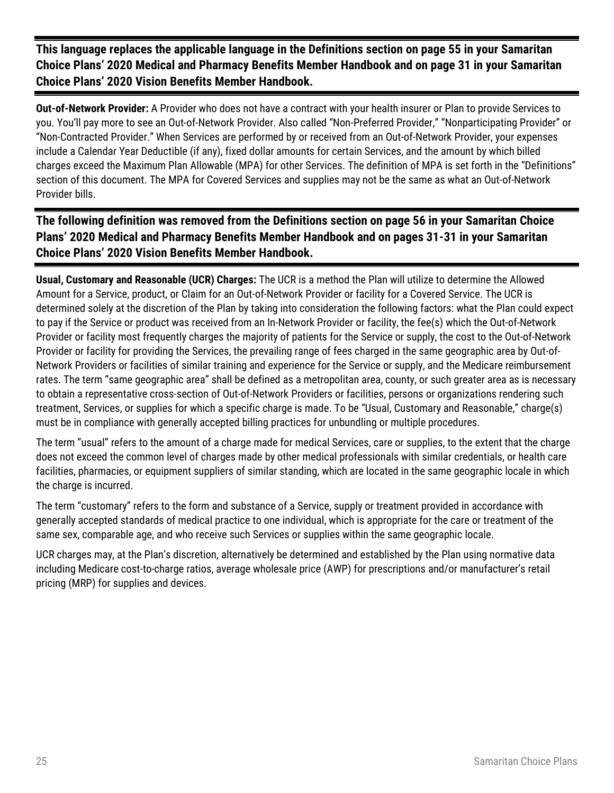**This language replaces the applicable language in the Definitions section on page 55 in your Samaritan Choice Plans' 2020 Medical and Pharmacy Benefits Member Handbook and on page 31 in your Samaritan Choice Plans' 2020 Vision Benefits Member Handbook.**

**Out-of-Network Provider:** A Provider who does not have a contract with your health insurer or Plan to provide Services to you. You'll pay more to see an Out-of-Network Provider. Also called "Non-Preferred Provider," "Nonparticipating Provider" or "Non-Contracted Provider." When Services are performed by or received from an Out-of-Network Provider, your expenses include a Calendar Year Deductible (if any), fixed dollar amounts for certain Services, and the amount by which billed charges exceed the Maximum Plan Allowable (MPA) for other Services. The definition of MPA is set forth in the "Definitions" section of this document. The MPA for Covered Services and supplies may not be the same as what an Out-of-Network Provider bills.

### **The following definition was removed from the Definitions section on page 56 in your Samaritan Choice Plans' 2020 Medical and Pharmacy Benefits Member Handbook and on pages 31-31 in your Samaritan Choice Plans' 2020 Vision Benefits Member Handbook.**

**Usual, Customary and Reasonable (UCR) Charges:** The UCR is a method the Plan will utilize to determine the Allowed Amount for a Service, product, or Claim for an Out-of-Network Provider or facility for a Covered Service. The UCR is determined solely at the discretion of the Plan by taking into consideration the following factors: what the Plan could expect to pay if the Service or product was received from an In-Network Provider or facility, the fee(s) which the Out-of-Network Provider or facility most frequently charges the majority of patients for the Service or supply, the cost to the Out-of-Network Provider or facility for providing the Services, the prevailing range of fees charged in the same geographic area by Out-of-Network Providers or facilities of similar training and experience for the Service or supply, and the Medicare reimbursement rates. The term "same geographic area" shall be defined as a metropolitan area, county, or such greater area as is necessary to obtain a representative cross-section of Out-of-Network Providers or facilities, persons or organizations rendering such treatment, Services, or supplies for which a specific charge is made. To be "Usual, Customary and Reasonable," charge(s) must be in compliance with generally accepted billing practices for unbundling or multiple procedures.

The term "usual" refers to the amount of a charge made for medical Services, care or supplies, to the extent that the charge does not exceed the common level of charges made by other medical professionals with similar credentials, or health care facilities, pharmacies, or equipment suppliers of similar standing, which are located in the same geographic locale in which the charge is incurred.

The term "customary" refers to the form and substance of a Service, supply or treatment provided in accordance with generally accepted standards of medical practice to one individual, which is appropriate for the care or treatment of the same sex, comparable age, and who receive such Services or supplies within the same geographic locale.

UCR charges may, at the Plan's discretion, alternatively be determined and established by the Plan using normative data including Medicare cost-to-charge ratios, average wholesale price (AWP) for prescriptions and/or manufacturer's retail pricing (MRP) for supplies and devices.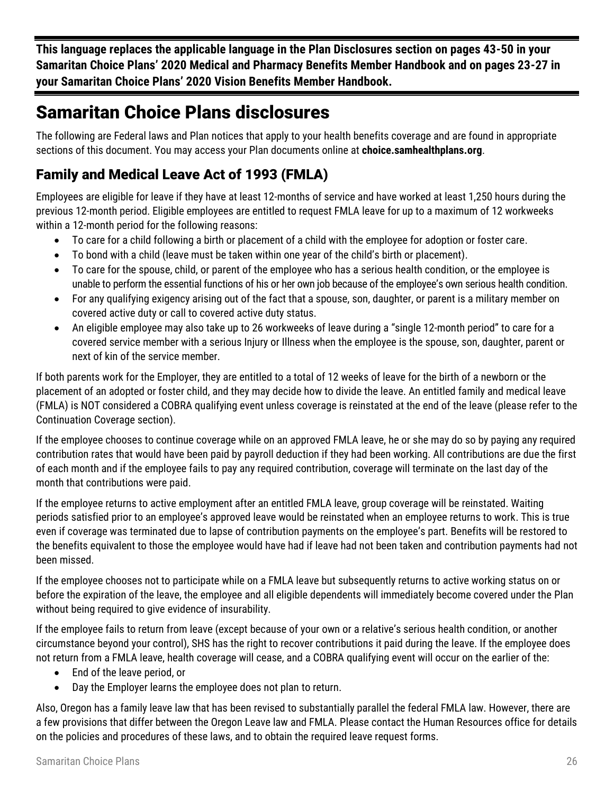**This language replaces the applicable language in the Plan Disclosures section on pages 43-50 in your Samaritan Choice Plans' 2020 Medical and Pharmacy Benefits Member Handbook and on pages 23-27 in your Samaritan Choice Plans' 2020 Vision Benefits Member Handbook.**

# Samaritan Choice Plans disclosures

The following are Federal laws and Plan notices that apply to your health benefits coverage and are found in appropriate sections of this document. You may access your Plan documents online at **choice.samhealthplans.org**.

# Family and Medical Leave Act of 1993 (FMLA)

Employees are eligible for leave if they have at least 12-months of service and have worked at least 1,250 hours during the previous 12-month period. Eligible employees are entitled to request FMLA leave for up to a maximum of 12 workweeks within a 12-month period for the following reasons:

- To care for a child following a birth or placement of a child with the employee for adoption or foster care.
- To bond with a child (leave must be taken within one year of the child's birth or placement).
- To care for the spouse, child, or parent of the employee who has a serious health condition, or the employee is unable to perform the essential functions of his or her own job because of the employee's own serious health condition.
- For any qualifying exigency arising out of the fact that a spouse, son, daughter, or parent is a military member on covered active duty or call to covered active duty status.
- An eligible employee may also take up to 26 workweeks of leave during a "single 12-month period" to care for a covered service member with a serious Injury or Illness when the employee is the spouse, son, daughter, parent or next of kin of the service member.

If both parents work for the Employer, they are entitled to a total of 12 weeks of leave for the birth of a newborn or the placement of an adopted or foster child, and they may decide how to divide the leave. An entitled family and medical leave (FMLA) is NOT considered a COBRA qualifying event unless coverage is reinstated at the end of the leave (please refer to the Continuation Coverage section).

If the employee chooses to continue coverage while on an approved FMLA leave, he or she may do so by paying any required contribution rates that would have been paid by payroll deduction if they had been working. All contributions are due the first of each month and if the employee fails to pay any required contribution, coverage will terminate on the last day of the month that contributions were paid.

If the employee returns to active employment after an entitled FMLA leave, group coverage will be reinstated. Waiting periods satisfied prior to an employee's approved leave would be reinstated when an employee returns to work. This is true even if coverage was terminated due to lapse of contribution payments on the employee's part. Benefits will be restored to the benefits equivalent to those the employee would have had if leave had not been taken and contribution payments had not been missed.

If the employee chooses not to participate while on a FMLA leave but subsequently returns to active working status on or before the expiration of the leave, the employee and all eligible dependents will immediately become covered under the Plan without being required to give evidence of insurability.

If the employee fails to return from leave (except because of your own or a relative's serious health condition, or another circumstance beyond your control), SHS has the right to recover contributions it paid during the leave. If the employee does not return from a FMLA leave, health coverage will cease, and a COBRA qualifying event will occur on the earlier of the:

- End of the leave period, or
- Day the Employer learns the employee does not plan to return.

Also, Oregon has a family leave law that has been revised to substantially parallel the federal FMLA law. However, there are a few provisions that differ between the Oregon Leave law and FMLA. Please contact the Human Resources office for details on the policies and procedures of these laws, and to obtain the required leave request forms.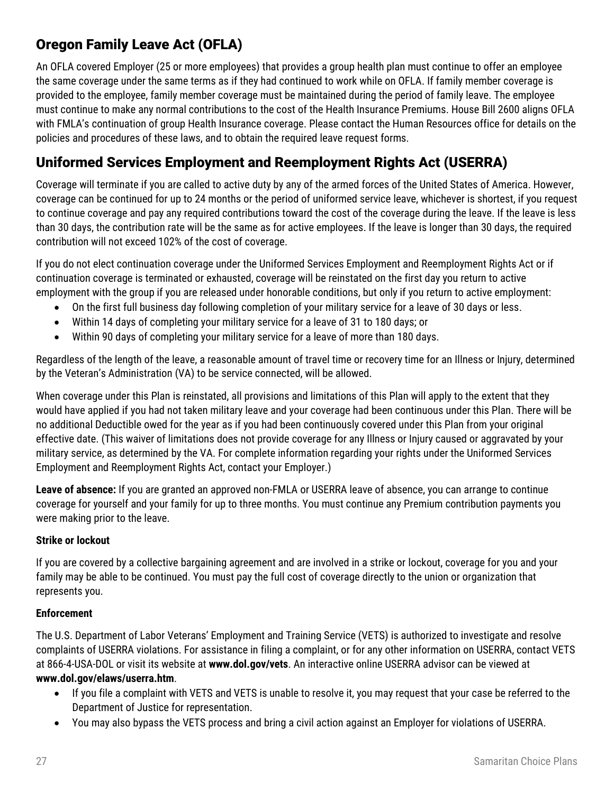# Oregon Family Leave Act (OFLA)

An OFLA covered Employer (25 or more employees) that provides a group health plan must continue to offer an employee the same coverage under the same terms as if they had continued to work while on OFLA. If family member coverage is provided to the employee, family member coverage must be maintained during the period of family leave. The employee must continue to make any normal contributions to the cost of the Health Insurance Premiums. House Bill 2600 aligns OFLA with FMLA's continuation of group Health Insurance coverage. Please contact the Human Resources office for details on the policies and procedures of these laws, and to obtain the required leave request forms.

# Uniformed Services Employment and Reemployment Rights Act (USERRA)

Coverage will terminate if you are called to active duty by any of the armed forces of the United States of America. However, coverage can be continued for up to 24 months or the period of uniformed service leave, whichever is shortest, if you request to continue coverage and pay any required contributions toward the cost of the coverage during the leave. If the leave is less than 30 days, the contribution rate will be the same as for active employees. If the leave is longer than 30 days, the required contribution will not exceed 102% of the cost of coverage.

If you do not elect continuation coverage under the Uniformed Services Employment and Reemployment Rights Act or if continuation coverage is terminated or exhausted, coverage will be reinstated on the first day you return to active employment with the group if you are released under honorable conditions, but only if you return to active employment:

- On the first full business day following completion of your military service for a leave of 30 days or less.
- Within 14 days of completing your military service for a leave of 31 to 180 days; or
- Within 90 days of completing your military service for a leave of more than 180 days.

Regardless of the length of the leave, a reasonable amount of travel time or recovery time for an Illness or Injury, determined by the Veteran's Administration (VA) to be service connected, will be allowed.

When coverage under this Plan is reinstated, all provisions and limitations of this Plan will apply to the extent that they would have applied if you had not taken military leave and your coverage had been continuous under this Plan. There will be no additional Deductible owed for the year as if you had been continuously covered under this Plan from your original effective date. (This waiver of limitations does not provide coverage for any Illness or Injury caused or aggravated by your military service, as determined by the VA. For complete information regarding your rights under the Uniformed Services Employment and Reemployment Rights Act, contact your Employer.)

**Leave of absence:** If you are granted an approved non-FMLA or USERRA leave of absence, you can arrange to continue coverage for yourself and your family for up to three months. You must continue any Premium contribution payments you were making prior to the leave.

#### **Strike or lockout**

If you are covered by a collective bargaining agreement and are involved in a strike or lockout, coverage for you and your family may be able to be continued. You must pay the full cost of coverage directly to the union or organization that represents you.

#### **Enforcement**

The U.S. Department of Labor Veterans' Employment and Training Service (VETS) is authorized to investigate and resolve complaints of USERRA violations. For assistance in filing a complaint, or for any other information on USERRA, contact VETS at 866-4-USA-DOL or visit its website at **www.dol.gov/vets**. An interactive online USERRA advisor can be viewed at **www.dol.gov/elaws/userra.htm**.

- If you file a complaint with VETS and VETS is unable to resolve it, you may request that your case be referred to the Department of Justice for representation.
- You may also bypass the VETS process and bring a civil action against an Employer for violations of USERRA.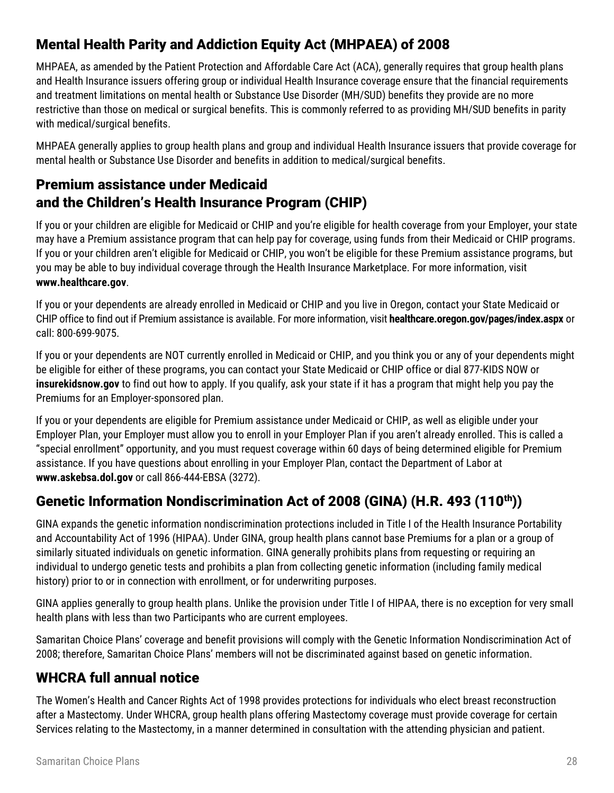# Mental Health Parity and Addiction Equity Act (MHPAEA) of 2008

MHPAEA, as amended by the Patient Protection and Affordable Care Act (ACA), generally requires that group health plans and Health Insurance issuers offering group or individual Health Insurance coverage ensure that the financial requirements and treatment limitations on mental health or Substance Use Disorder (MH/SUD) benefits they provide are no more restrictive than those on medical or surgical benefits. This is commonly referred to as providing MH/SUD benefits in parity with medical/surgical benefits.

MHPAEA generally applies to group health plans and group and individual Health Insurance issuers that provide coverage for mental health or Substance Use Disorder and benefits in addition to medical/surgical benefits.

# Premium assistance under Medicaid and the Children's Health Insurance Program (CHIP)

If you or your children are eligible for Medicaid or CHIP and you're eligible for health coverage from your Employer, your state may have a Premium assistance program that can help pay for coverage, using funds from their Medicaid or CHIP programs. If you or your children aren't eligible for Medicaid or CHIP, you won't be eligible for these Premium assistance programs, but you may be able to buy individual coverage through the Health Insurance Marketplace. For more information, visit **www.healthcare.gov**.

If you or your dependents are already enrolled in Medicaid or CHIP and you live in Oregon, contact your State Medicaid or CHIP office to find out if Premium assistance is available. For more information, visit **healthcare.oregon.gov/pages/index.aspx** or call: 800-699-9075.

If you or your dependents are NOT currently enrolled in Medicaid or CHIP, and you think you or any of your dependents might be eligible for either of these programs, you can contact your State Medicaid or CHIP office or dial 877-KIDS NOW or **insurekidsnow.gov** to find out how to apply. If you qualify, ask your state if it has a program that might help you pay the Premiums for an Employer-sponsored plan.

If you or your dependents are eligible for Premium assistance under Medicaid or CHIP, as well as eligible under your Employer Plan, your Employer must allow you to enroll in your Employer Plan if you aren't already enrolled. This is called a "special enrollment" opportunity, and you must request coverage within 60 days of being determined eligible for Premium assistance. If you have questions about enrolling in your Employer Plan, contact the Department of Labor at **www.askebsa.dol.gov** or call 866-444-EBSA (3272).

# Genetic Information Nondiscrimination Act of 2008 (GINA) (H.R. 493 (110<sup>th</sup>))

GINA expands the genetic information nondiscrimination protections included in Title I of the Health Insurance Portability and Accountability Act of 1996 (HIPAA). Under GINA, group health plans cannot base Premiums for a plan or a group of similarly situated individuals on genetic information. GINA generally prohibits plans from requesting or requiring an individual to undergo genetic tests and prohibits a plan from collecting genetic information (including family medical history) prior to or in connection with enrollment, or for underwriting purposes.

GINA applies generally to group health plans. Unlike the provision under Title I of HIPAA, there is no exception for very small health plans with less than two Participants who are current employees.

Samaritan Choice Plans' coverage and benefit provisions will comply with the Genetic Information Nondiscrimination Act of 2008; therefore, Samaritan Choice Plans' members will not be discriminated against based on genetic information.

## WHCRA full annual notice

The Women's Health and Cancer Rights Act of 1998 provides protections for individuals who elect breast reconstruction after a Mastectomy. Under WHCRA, group health plans offering Mastectomy coverage must provide coverage for certain Services relating to the Mastectomy, in a manner determined in consultation with the attending physician and patient.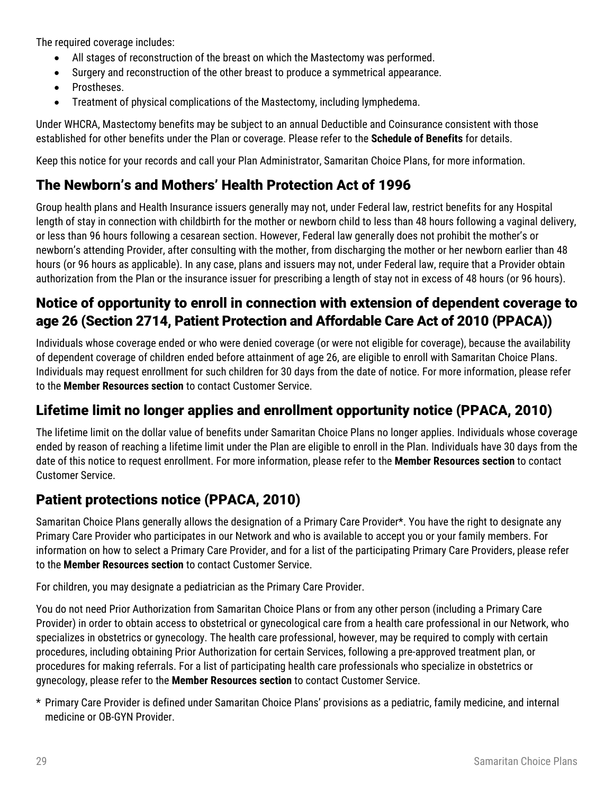The required coverage includes:

- All stages of reconstruction of the breast on which the Mastectomy was performed.
- Surgery and reconstruction of the other breast to produce a symmetrical appearance.
- Prostheses.
- Treatment of physical complications of the Mastectomy, including lymphedema.

Under WHCRA, Mastectomy benefits may be subject to an annual Deductible and Coinsurance consistent with those established for other benefits under the Plan or coverage. Please refer to the **Schedule of Benefits** for details.

Keep this notice for your records and call your Plan Administrator, Samaritan Choice Plans, for more information.

# The Newborn's and Mothers' Health Protection Act of 1996

Group health plans and Health Insurance issuers generally may not, under Federal law, restrict benefits for any Hospital length of stay in connection with childbirth for the mother or newborn child to less than 48 hours following a vaginal delivery, or less than 96 hours following a cesarean section. However, Federal law generally does not prohibit the mother's or newborn's attending Provider, after consulting with the mother, from discharging the mother or her newborn earlier than 48 hours (or 96 hours as applicable). In any case, plans and issuers may not, under Federal law, require that a Provider obtain authorization from the Plan or the insurance issuer for prescribing a length of stay not in excess of 48 hours (or 96 hours).

# Notice of opportunity to enroll in connection with extension of dependent coverage to age 26 (Section 2714, Patient Protection and Affordable Care Act of 2010 (PPACA))

Individuals whose coverage ended or who were denied coverage (or were not eligible for coverage), because the availability of dependent coverage of children ended before attainment of age 26, are eligible to enroll with Samaritan Choice Plans. Individuals may request enrollment for such children for 30 days from the date of notice. For more information, please refer to the **Member Resources section** to contact Customer Service.

## Lifetime limit no longer applies and enrollment opportunity notice (PPACA, 2010)

The lifetime limit on the dollar value of benefits under Samaritan Choice Plans no longer applies. Individuals whose coverage ended by reason of reaching a lifetime limit under the Plan are eligible to enroll in the Plan. Individuals have 30 days from the date of this notice to request enrollment. For more information, please refer to the **Member Resources section** to contact Customer Service.

# Patient protections notice (PPACA, 2010)

Samaritan Choice Plans generally allows the designation of a Primary Care Provider\*. You have the right to designate any Primary Care Provider who participates in our Network and who is available to accept you or your family members. For information on how to select a Primary Care Provider, and for a list of the participating Primary Care Providers, please refer to the **Member Resources section** to contact Customer Service.

For children, you may designate a pediatrician as the Primary Care Provider.

You do not need Prior Authorization from Samaritan Choice Plans or from any other person (including a Primary Care Provider) in order to obtain access to obstetrical or gynecological care from a health care professional in our Network, who specializes in obstetrics or gynecology. The health care professional, however, may be required to comply with certain procedures, including obtaining Prior Authorization for certain Services, following a pre-approved treatment plan, or procedures for making referrals. For a list of participating health care professionals who specialize in obstetrics or gynecology, please refer to the **Member Resources section** to contact Customer Service.

\* Primary Care Provider is defined under Samaritan Choice Plans' provisions as a pediatric, family medicine, and internal medicine or OB-GYN Provider.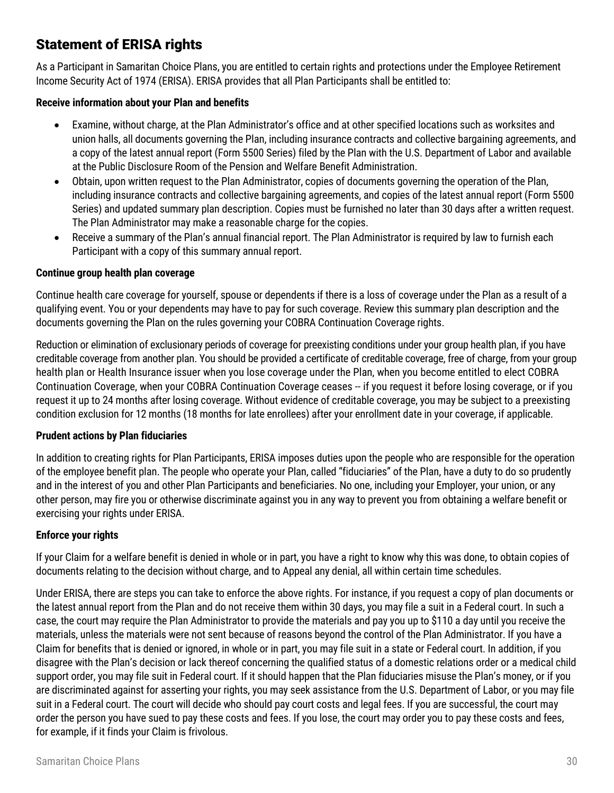# Statement of ERISA rights

As a Participant in Samaritan Choice Plans, you are entitled to certain rights and protections under the Employee Retirement Income Security Act of 1974 (ERISA). ERISA provides that all Plan Participants shall be entitled to:

#### **Receive information about your Plan and benefits**

- Examine, without charge, at the Plan Administrator's office and at other specified locations such as worksites and union halls, all documents governing the Plan, including insurance contracts and collective bargaining agreements, and a copy of the latest annual report (Form 5500 Series) filed by the Plan with the U.S. Department of Labor and available at the Public Disclosure Room of the Pension and Welfare Benefit Administration.
- Obtain, upon written request to the Plan Administrator, copies of documents governing the operation of the Plan, including insurance contracts and collective bargaining agreements, and copies of the latest annual report (Form 5500 Series) and updated summary plan description. Copies must be furnished no later than 30 days after a written request. The Plan Administrator may make a reasonable charge for the copies.
- Receive a summary of the Plan's annual financial report. The Plan Administrator is required by law to furnish each Participant with a copy of this summary annual report.

#### **Continue group health plan coverage**

Continue health care coverage for yourself, spouse or dependents if there is a loss of coverage under the Plan as a result of a qualifying event. You or your dependents may have to pay for such coverage. Review this summary plan description and the documents governing the Plan on the rules governing your COBRA Continuation Coverage rights.

Reduction or elimination of exclusionary periods of coverage for preexisting conditions under your group health plan, if you have creditable coverage from another plan. You should be provided a certificate of creditable coverage, free of charge, from your group health plan or Health Insurance issuer when you lose coverage under the Plan, when you become entitled to elect COBRA Continuation Coverage, when your COBRA Continuation Coverage ceases -- if you request it before losing coverage, or if you request it up to 24 months after losing coverage. Without evidence of creditable coverage, you may be subject to a preexisting condition exclusion for 12 months (18 months for late enrollees) after your enrollment date in your coverage, if applicable.

#### **Prudent actions by Plan fiduciaries**

In addition to creating rights for Plan Participants, ERISA imposes duties upon the people who are responsible for the operation of the employee benefit plan. The people who operate your Plan, called "fiduciaries" of the Plan, have a duty to do so prudently and in the interest of you and other Plan Participants and beneficiaries. No one, including your Employer, your union, or any other person, may fire you or otherwise discriminate against you in any way to prevent you from obtaining a welfare benefit or exercising your rights under ERISA.

#### **Enforce your rights**

If your Claim for a welfare benefit is denied in whole or in part, you have a right to know why this was done, to obtain copies of documents relating to the decision without charge, and to Appeal any denial, all within certain time schedules.

Under ERISA, there are steps you can take to enforce the above rights. For instance, if you request a copy of plan documents or the latest annual report from the Plan and do not receive them within 30 days, you may file a suit in a Federal court. In such a case, the court may require the Plan Administrator to provide the materials and pay you up to \$110 a day until you receive the materials, unless the materials were not sent because of reasons beyond the control of the Plan Administrator. If you have a Claim for benefits that is denied or ignored, in whole or in part, you may file suit in a state or Federal court. In addition, if you disagree with the Plan's decision or lack thereof concerning the qualified status of a domestic relations order or a medical child support order, you may file suit in Federal court. If it should happen that the Plan fiduciaries misuse the Plan's money, or if you are discriminated against for asserting your rights, you may seek assistance from the U.S. Department of Labor, or you may file suit in a Federal court. The court will decide who should pay court costs and legal fees. If you are successful, the court may order the person you have sued to pay these costs and fees. If you lose, the court may order you to pay these costs and fees, for example, if it finds your Claim is frivolous.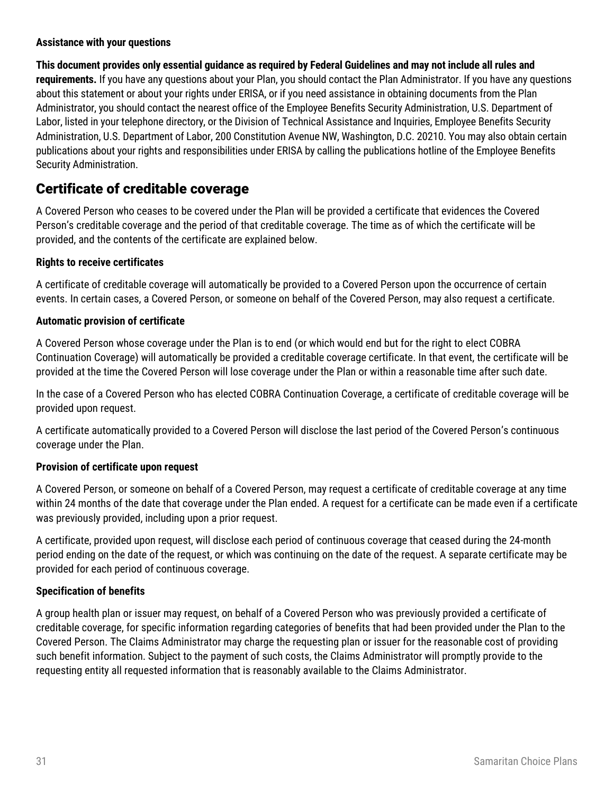#### **Assistance with your questions**

**This document provides only essential guidance as required by Federal Guidelines and may not include all rules and requirements.** If you have any questions about your Plan, you should contact the Plan Administrator. If you have any questions about this statement or about your rights under ERISA, or if you need assistance in obtaining documents from the Plan Administrator, you should contact the nearest office of the Employee Benefits Security Administration, U.S. Department of Labor, listed in your telephone directory, or the Division of Technical Assistance and Inquiries, Employee Benefits Security Administration, U.S. Department of Labor, 200 Constitution Avenue NW, Washington, D.C. 20210. You may also obtain certain publications about your rights and responsibilities under ERISA by calling the publications hotline of the Employee Benefits Security Administration.

### Certificate of creditable coverage

A Covered Person who ceases to be covered under the Plan will be provided a certificate that evidences the Covered Person's creditable coverage and the period of that creditable coverage. The time as of which the certificate will be provided, and the contents of the certificate are explained below.

#### **Rights to receive certificates**

A certificate of creditable coverage will automatically be provided to a Covered Person upon the occurrence of certain events. In certain cases, a Covered Person, or someone on behalf of the Covered Person, may also request a certificate.

#### **Automatic provision of certificate**

A Covered Person whose coverage under the Plan is to end (or which would end but for the right to elect COBRA Continuation Coverage) will automatically be provided a creditable coverage certificate. In that event, the certificate will be provided at the time the Covered Person will lose coverage under the Plan or within a reasonable time after such date.

In the case of a Covered Person who has elected COBRA Continuation Coverage, a certificate of creditable coverage will be provided upon request.

A certificate automatically provided to a Covered Person will disclose the last period of the Covered Person's continuous coverage under the Plan.

#### **Provision of certificate upon request**

A Covered Person, or someone on behalf of a Covered Person, may request a certificate of creditable coverage at any time within 24 months of the date that coverage under the Plan ended. A request for a certificate can be made even if a certificate was previously provided, including upon a prior request.

A certificate, provided upon request, will disclose each period of continuous coverage that ceased during the 24-month period ending on the date of the request, or which was continuing on the date of the request. A separate certificate may be provided for each period of continuous coverage.

#### **Specification of benefits**

A group health plan or issuer may request, on behalf of a Covered Person who was previously provided a certificate of creditable coverage, for specific information regarding categories of benefits that had been provided under the Plan to the Covered Person. The Claims Administrator may charge the requesting plan or issuer for the reasonable cost of providing such benefit information. Subject to the payment of such costs, the Claims Administrator will promptly provide to the requesting entity all requested information that is reasonably available to the Claims Administrator.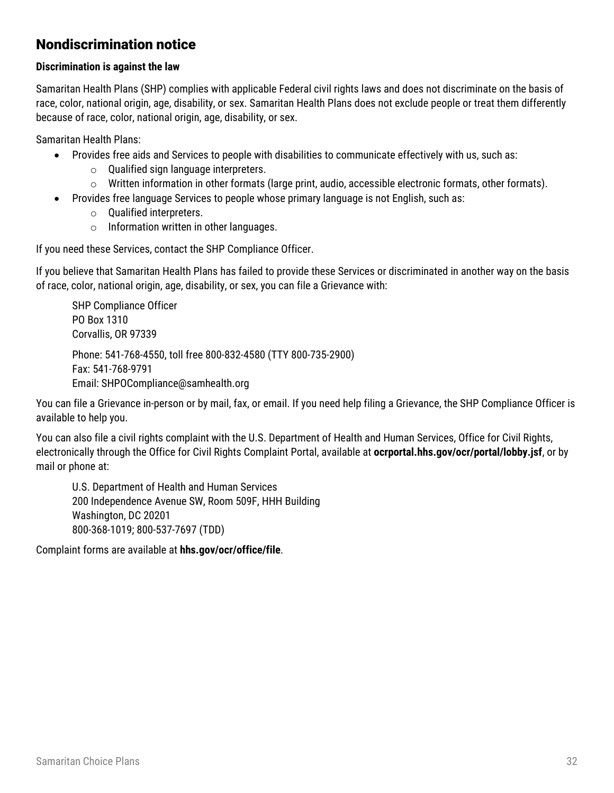# Nondiscrimination notice

#### **Discrimination is against the law**

Samaritan Health Plans (SHP) complies with applicable Federal civil rights laws and does not discriminate on the basis of race, color, national origin, age, disability, or sex. Samaritan Health Plans does not exclude people or treat them differently because of race, color, national origin, age, disability, or sex.

Samaritan Health Plans:

- Provides free aids and Services to people with disabilities to communicate effectively with us, such as:
	- o Qualified sign language interpreters.
	- $\circ$  Written information in other formats (large print, audio, accessible electronic formats, other formats).
- Provides free language Services to people whose primary language is not English, such as:
	- o Qualified interpreters.
	- o Information written in other languages.

If you need these Services, contact the SHP Compliance Officer.

If you believe that Samaritan Health Plans has failed to provide these Services or discriminated in another way on the basis of race, color, national origin, age, disability, or sex, you can file a Grievance with:

SHP Compliance Officer PO Box 1310 Corvallis, OR 97339 Phone: 541-768-4550, toll free 800-832-4580 (TTY 800-735-2900) Fax: 541-768-9791 Email: SHPOCompliance@samhealth.org

You can file a Grievance in-person or by mail, fax, or email. If you need help filing a Grievance, the SHP Compliance Officer is available to help you.

You can also file a civil rights complaint with the U.S. Department of Health and Human Services, Office for Civil Rights, electronically through the Office for Civil Rights Complaint Portal, available at **ocrportal.hhs.gov/ocr/portal/lobby.jsf**, or by mail or phone at:

U.S. Department of Health and Human Services 200 Independence Avenue SW, Room 509F, HHH Building Washington, DC 20201 800-368-1019; 800-537-7697 (TDD)

Complaint forms are available at **hhs.gov/ocr/office/file**.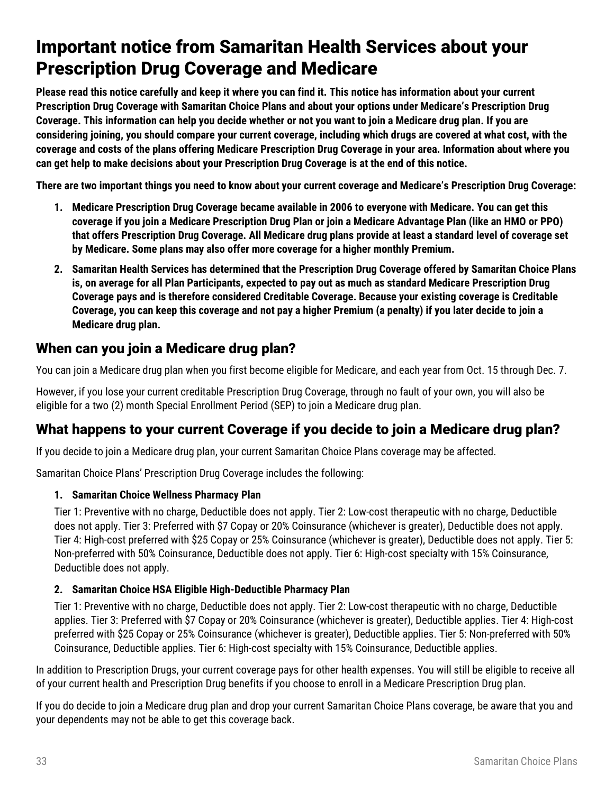# Important notice from Samaritan Health Services about your Prescription Drug Coverage and Medicare

**Please read this notice carefully and keep it where you can find it. This notice has information about your current Prescription Drug Coverage with Samaritan Choice Plans and about your options under Medicare's Prescription Drug Coverage. This information can help you decide whether or not you want to join a Medicare drug plan. If you are considering joining, you should compare your current coverage, including which drugs are covered at what cost, with the coverage and costs of the plans offering Medicare Prescription Drug Coverage in your area. Information about where you can get help to make decisions about your Prescription Drug Coverage is at the end of this notice.**

**There are two important things you need to know about your current coverage and Medicare's Prescription Drug Coverage:**

- **1. Medicare Prescription Drug Coverage became available in 2006 to everyone with Medicare. You can get this coverage if you join a Medicare Prescription Drug Plan or join a Medicare Advantage Plan (like an HMO or PPO) that offers Prescription Drug Coverage. All Medicare drug plans provide at least a standard level of coverage set by Medicare. Some plans may also offer more coverage for a higher monthly Premium.**
- **2. Samaritan Health Services has determined that the Prescription Drug Coverage offered by Samaritan Choice Plans is, on average for all Plan Participants, expected to pay out as much as standard Medicare Prescription Drug Coverage pays and is therefore considered Creditable Coverage. Because your existing coverage is Creditable Coverage, you can keep this coverage and not pay a higher Premium (a penalty) if you later decide to join a Medicare drug plan.**

## When can you join a Medicare drug plan?

You can join a Medicare drug plan when you first become eligible for Medicare, and each year from Oct. 15 through Dec. 7.

However, if you lose your current creditable Prescription Drug Coverage, through no fault of your own, you will also be eligible for a two (2) month Special Enrollment Period (SEP) to join a Medicare drug plan.

## What happens to your current Coverage if you decide to join a Medicare drug plan?

If you decide to join a Medicare drug plan, your current Samaritan Choice Plans coverage may be affected.

Samaritan Choice Plans' Prescription Drug Coverage includes the following:

#### **1. Samaritan Choice Wellness Pharmacy Plan**

Tier 1: Preventive with no charge, Deductible does not apply. Tier 2: Low-cost therapeutic with no charge, Deductible does not apply. Tier 3: Preferred with \$7 Copay or 20% Coinsurance (whichever is greater), Deductible does not apply. Tier 4: High-cost preferred with \$25 Copay or 25% Coinsurance (whichever is greater), Deductible does not apply. Tier 5: Non-preferred with 50% Coinsurance, Deductible does not apply. Tier 6: High-cost specialty with 15% Coinsurance, Deductible does not apply.

#### **2. Samaritan Choice HSA Eligible High-Deductible Pharmacy Plan**

Tier 1: Preventive with no charge, Deductible does not apply. Tier 2: Low-cost therapeutic with no charge, Deductible applies. Tier 3: Preferred with \$7 Copay or 20% Coinsurance (whichever is greater), Deductible applies. Tier 4: High-cost preferred with \$25 Copay or 25% Coinsurance (whichever is greater), Deductible applies. Tier 5: Non-preferred with 50% Coinsurance, Deductible applies. Tier 6: High-cost specialty with 15% Coinsurance, Deductible applies.

In addition to Prescription Drugs, your current coverage pays for other health expenses. You will still be eligible to receive all of your current health and Prescription Drug benefits if you choose to enroll in a Medicare Prescription Drug plan.

If you do decide to join a Medicare drug plan and drop your current Samaritan Choice Plans coverage, be aware that you and your dependents may not be able to get this coverage back.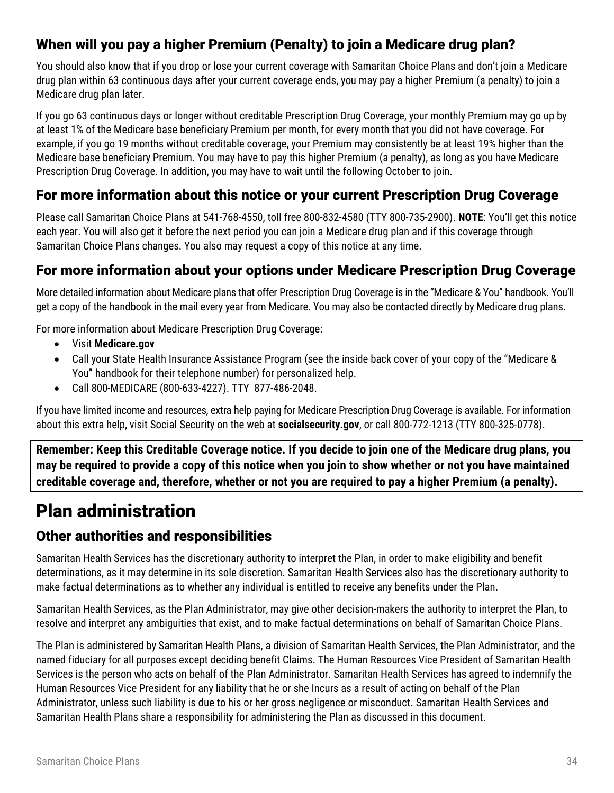# When will you pay a higher Premium (Penalty) to join a Medicare drug plan?

You should also know that if you drop or lose your current coverage with Samaritan Choice Plans and don't join a Medicare drug plan within 63 continuous days after your current coverage ends, you may pay a higher Premium (a penalty) to join a Medicare drug plan later.

If you go 63 continuous days or longer without creditable Prescription Drug Coverage, your monthly Premium may go up by at least 1% of the Medicare base beneficiary Premium per month, for every month that you did not have coverage. For example, if you go 19 months without creditable coverage, your Premium may consistently be at least 19% higher than the Medicare base beneficiary Premium. You may have to pay this higher Premium (a penalty), as long as you have Medicare Prescription Drug Coverage. In addition, you may have to wait until the following October to join.

### For more information about this notice or your current Prescription Drug Coverage

Please call Samaritan Choice Plans at 541-768-4550, toll free 800-832-4580 (TTY 800-735-2900). **NOTE**: You'll get this notice each year. You will also get it before the next period you can join a Medicare drug plan and if this coverage through Samaritan Choice Plans changes. You also may request a copy of this notice at any time.

# For more information about your options under Medicare Prescription Drug Coverage

More detailed information about Medicare plans that offer Prescription Drug Coverage is in the "Medicare & You" handbook. You'll get a copy of the handbook in the mail every year from Medicare. You may also be contacted directly by Medicare drug plans.

For more information about Medicare Prescription Drug Coverage:

- Visit **Medicare.gov**
- Call your State Health Insurance Assistance Program (see the inside back cover of your copy of the "Medicare & You" handbook for their telephone number) for personalized help.
- Call 800-MEDICARE (800-633-4227). TTY 877-486-2048.

If you have limited income and resources, extra help paying for Medicare Prescription Drug Coverage is available. For information about this extra help, visit Social Security on the web at **socialsecurity.gov**, or call 800-772-1213 (TTY 800-325-0778).

**Remember: Keep this Creditable Coverage notice. If you decide to join one of the Medicare drug plans, you may be required to provide a copy of this notice when you join to show whether or not you have maintained creditable coverage and, therefore, whether or not you are required to pay a higher Premium (a penalty).**

# Plan administration

# Other authorities and responsibilities

Samaritan Health Services has the discretionary authority to interpret the Plan, in order to make eligibility and benefit determinations, as it may determine in its sole discretion. Samaritan Health Services also has the discretionary authority to make factual determinations as to whether any individual is entitled to receive any benefits under the Plan.

Samaritan Health Services, as the Plan Administrator, may give other decision-makers the authority to interpret the Plan, to resolve and interpret any ambiguities that exist, and to make factual determinations on behalf of Samaritan Choice Plans.

The Plan is administered by Samaritan Health Plans, a division of Samaritan Health Services, the Plan Administrator, and the named fiduciary for all purposes except deciding benefit Claims. The Human Resources Vice President of Samaritan Health Services is the person who acts on behalf of the Plan Administrator. Samaritan Health Services has agreed to indemnify the Human Resources Vice President for any liability that he or she Incurs as a result of acting on behalf of the Plan Administrator, unless such liability is due to his or her gross negligence or misconduct. Samaritan Health Services and Samaritan Health Plans share a responsibility for administering the Plan as discussed in this document.